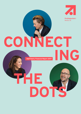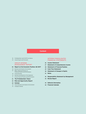## **Content**

- ProSiebenSat.1 and H1 2017 at a Glance
- Actual Figures and Forecasts

## GROUP INTERIM MANAGEMENT REPORT

- **Report on the Economic Position: Q2 2017**
- Business and Industry Environment
- Major Influencing Factors on Financial Position and Performance
- Group Earnings
- Business Development of the Segments
- Group Financial Position and Performance
- **The ProSiebenSat.1 Share**
- **Risk and Opportunity Report**
- **Outlook**
- Future Business and Industry Environment
- Company Outlook

## INTERIM CONSOLIDATED FINANCIAL STATEMENTS

- **Income Statement**
- **Statement of Comprehensive Income**
- **Statement of Financial Position**
- **Cash Flow Statement**
- **Statement of Changes in Equity**
- **Notes**
- **Responsibility Statement by Management**
- **Review Report**
- **Editorial Information**
- **Financial Calendar**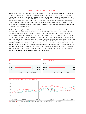## **PROSIEBENSAT.1 GROUP AT A GLANCE**

ProSiebenSat.1 Group concluded the first half of the year 2017 with a double-digit revenue growth of 11% to EUR 1,872 million. At the same time, the Group also achieved another rise in relevant earnings figures, with adjusted EBITDA increasing by 8% to EUR 458 million and adjusted net income growing by 9% to EUR 233 million (previous year: EUR 213 million). Once again, the Commerce portfolio was the largest growth driver. At the end of the first half of the year, ProSiebenSat.1 generated 50% of its revenues outside the TV advertising business (previous year: 44%). The Company employs 6,540 people in average. The most important revenue market is Germany. Here, the ProSiebenSat.1 share has been included into the German equity index DAX since March 2016.

ProSiebenSat.1 Group is one of the most successful independent media companies in Europe with a strong presence in the TV and digital market. Advertising-financed free TV is the Group's core business. Here, the Group is a leading player on the German TV market. At the same time, the Group is pushing ahead with its digital transformation and diversifying its portfolio. To achieve this, the Group is making use of its competitive edge and leveraging synergies by linking the wide reaching TV repertoire to digital entertainment offerings. Already today, ProSiebenSat.1 is Germany's leading video marketer on the Internet and one of the most successful providers of digital entertainment. However, the Internet is changing not only the entertainment industry, but other areas as well. For instance, digital media is also influencing consumer behavior. This is why ProSiebenSat.1 has built up a successful commerce business of digital platforms in recent years that is now the Group's largest growth driver. This broadcasting, digital entertainment and commerce portfolio is supplemented by an international production and distribution network. Thus, ProSiebenSat.1 has a broadly diversified revenue and earnings base and is growing sustainably.

| <b>Revenues</b> |     |       |                     |       |
|-----------------|-----|-------|---------------------|-------|
| EUR m           |     |       |                     |       |
|                 |     |       |                     |       |
| H1 2017         |     |       |                     | 1,872 |
| H1 2016         |     | 1.1.1 |                     | 1,688 |
|                 | 500 |       | $1,000$ 1,500 2,000 |       |

| <b>Adjusted EBITDA1</b> |   |     |                |     |     |
|-------------------------|---|-----|----------------|-----|-----|
| EUR m                   |   |     |                |     |     |
| H1 2017                 |   |     |                |     | 458 |
| H1 2016                 | ∩ | 100 | $1200$ 300 400 | 500 | 424 |



All information relates to continuing operations

**1** From 01/01/2017 renaming in adjusted EBITDA and adjusted net income respectively.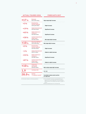## **ACTUAL FIGURES 2016**

## **FORECASTS 2017**

| $+17%$                                            | <b>Revenues</b><br>EUR 3,799 million                                      | High single-digit increase                                                                                                                                                                                                     |
|---------------------------------------------------|---------------------------------------------------------------------------|--------------------------------------------------------------------------------------------------------------------------------------------------------------------------------------------------------------------------------|
| $+3%$                                             | <b>Broadcasting</b><br>German-speaking<br>EUR 2,210 million               | <b>Slight increase</b>                                                                                                                                                                                                         |
| $+19%$                                            | <b>Digital Entertainment</b><br>EUR 442 million                           | <b>Significant increase</b>                                                                                                                                                                                                    |
| $+65%$                                            | <b>Digital Ventures &amp;</b><br><b>Commerce</b><br>EUR 768 million       | <b>Significant increase</b>                                                                                                                                                                                                    |
| +38%                                              | <b>Content Production &amp;</b><br><b>Global Sales</b><br>EUR 362 million | Mid single-digit increase                                                                                                                                                                                                      |
| $+10%$                                            | <b>Recurring EBITDA<sup>1</sup></b><br>EUR 1,018 million                  | Mid single-digit increase                                                                                                                                                                                                      |
| $+3%$                                             | <b>Broadcasting</b><br>German-speaking<br>EUR 760 million                 | <b>Slight increase</b>                                                                                                                                                                                                         |
| $-1\%$                                            | <b>Digital Entertainment</b><br>EUR 37 million                            | Stable to slight decrease                                                                                                                                                                                                      |
| +33%                                              | <b>Digital Ventures &amp;</b><br><b>Commerce</b><br>EUR 180 million       | <b>Significant increase</b>                                                                                                                                                                                                    |
| +87%                                              | <b>Content Production &amp;</b><br><b>Global Sales</b><br>EUR 47 million  | <b>Stable to slight increase</b>                                                                                                                                                                                               |
| $+10%$                                            | <b>Underlying</b><br>net income <sup>1</sup><br>EUR 513 million           | Mid to high single-digit increase                                                                                                                                                                                              |
| 1.9                                               | Leverage ratio                                                            | $1.5 - 2.5$                                                                                                                                                                                                                    |
| 28.0%                                             | <b>German</b><br>TV audience market <sup>2</sup>                          | Consolidate leading market position<br>at a high level                                                                                                                                                                         |
| All information relates to continuing operations. |                                                                           | 1 From 01/01/2017 renaming in adjusted EBITDA and<br>adjusted net income respectively. The Annual Report<br>2016 comprises more detailed information on pages 73<br>and 74.<br>2 Relevant target group of 14- to 49-year-olds. |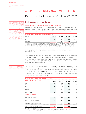## A. GROUP INTERIM MANAGEMENT REPORT

## Report on the Economic Position: Q2 2017

## **Business and Industry Environment**

### Development of Audience Shares and User Numbers

ProSiebenSat.1 Group operates advertising-financed free TV stations in Germany, Austria and Switzerland and offers these in both SD and HD quality (Fig. 1). In Germany, ProSiebenSat.1 Group and RTL Mediengruppe Deutschland have the greatest reach (Viewers 14 to 49 years).

| Audience shares of ProSiebenSat.1 Group by country (Fig. 1) |         |          |                     |                     |  |
|-------------------------------------------------------------|---------|----------|---------------------|---------------------|--|
| ı percent                                                   | Q2 2017 | 02 2016  | H <sub>1</sub> 2017 | H <sub>1</sub> 2016 |  |
|                                                             | 27.1    | 27.8<br> | 26.9                | 28 N<br>            |  |
| Austria                                                     | 27.7    | 22 K<br> | 27.0                | 23 I<br>            |  |
| tzerland                                                    | 17.2    | 16.7     | 17.1                | 75                  |  |

Figures are based on 24 hours (Mon-Sun). Germany: SAT.1, ProSieben, kabel eins, sixx, SAT.1 Gold, ProSieben MAXX, kabel eins Doku (since 09/22/2016); advertising-relevant target group adults 14–49. Source: AGF in cooperation with GfK/TV Scope 6.1/SevenOne Media Committees Representation. Austria: Basis: Austria, all levels; period: 01/01 –30/06/2017 (final weighting); adults 12–49; SAT.1 Österreich, ProSieben Austria, kabel eins Austria, PULS 4, sixx Austria, ProSieben MAXX Austria, SAT.1 Gold Österreich, kabel eins Doku Österreich (from 09/22/2016), ATV + ATV 2 (from 04/07/2017 at ProSiebenSat.1 PULS 4, previously an independent group) Source: AGTT/GfK: Fernsehforschung/Evogenius Reporting (KR). Switzerland: SAT.1 Schweiz, ProSieben Schweiz, kabel eins Schweiz, sixx Schweiz, SAT.1 Gold Schweiz, ProSieben MAXX Schweiz, Puls 8 (since 10/08/2015); advertising-relevant target group adults 15–49; market shares relate to the German-speaking part of Switzerland D–CH; source: Mediapulse TV Panel.

In the core market Germany, ProSiebenSat.1 is the market leader with its seven free TV stations. In the second quarter of 2017, the combined market share of the broadcasting group amounted to 27.1 % among viewers aged between 14 and 49 years (previous year: 27.8 %). The stations marketed by IP Deutschland (RTL, VOX, n-tv, Super RTL, RTL Nitro and RTLplus) had a market share of 25.1% (previous year: 23.0%).

As expected, the competitive environment in the German free TV market has intensified. For instance, RTL Mediengruppe benefited from the launch of the RTLplus station, which achieved a year-on-year market share increase of 0.5 % in the period from June 24 to June 30, 2017. In doing so, the set of familiar TV brands has not changed substantially; SAT.1 and ProSieben still count among ProSiebenSat.1 Group's stations with the greatest reach. However, numerous new specialinterest stations have emerged in recent years.

| Audience shares of ProSiebenSat.1 stations in Germany (Fig. 2) |         |                     |                     |                     |
|----------------------------------------------------------------|---------|---------------------|---------------------|---------------------|
| Target group 14- to 49-year-olds                               |         |                     |                     |                     |
| in percent                                                     | Q2 2017 | Q <sub>2</sub> 2016 | H <sub>1</sub> 2017 | H <sub>1</sub> 2016 |
| SAT.1                                                          | 8.3     | 8.6                 | 8.4                 | 8.7                 |
| ProSieben                                                      | 9.7     | 10.2                | 9.7                 | 10.5                |
| kabel eins                                                     | 4.8     | 5.2                 | 4.8                 | 5.1                 |
| sixx                                                           | 1.2     | 1.4                 | 1.1                 | 1.4                 |
| SAT <sub>.1</sub> Gold                                         | 1.4     | 1.3                 | 1.4                 | 1.3                 |
| ProSieben MAXX                                                 | 1.3     | 1.0                 | 1.2                 | 1.0                 |
| kabel eins Doku <sup>1</sup>                                   | 0.3     | $-/-$               | 0.3                 | $-/-$               |
| <b>Relevant target groups</b>                                  |         |                     |                     |                     |
| in percent                                                     | Q2 2017 | Q2 2016             | H1 2017             | H1 2016             |
| SAT.1: Adults 14- to 59-year-olds                              | 8.3     | 8.5                 | 8.4                 | 8.6                 |
| ProSieben: Adults 14- to 39-year-olds                          | 12.9    | 13.8                | 12.9                | 14.2                |
| kabel eins: Adults 14- to 49-year-olds                         | 4.8     | 5.2                 | 4.8                 | 5.1                 |
| sixx: Women 14- to 39-year-olds                                | 1.7     | 2.2                 | 1.7                 | 2.1                 |
| SAT.1 Gold: Women 40- to 64-year-olds                          | 2.5     | 2.7                 | 2.3                 | 2.5                 |
| ProSieben MAXX: Men 14- to 39-year-olds                        | 2.8     | 1.8                 | 2.5                 | 1.8                 |
| kabel eins Doku': Men 40- to 64-year-olds                      | 0.4     | $-/-$               | 0.4                 | $-/-$               |
|                                                                |         |                     |                     |                     |

**1** Since September 22, 2016.

Figures are based on 24 hours (Mon–Sun). SAT.1, ProSieben, kabel eins, sixx, SAT.1 Gold, ProSieben MAXX, kabel eins Doku; source: AGF in cooperation with GfK/TV Scope 6.1/SevenOne Media Committees Representation.

ï

no significant changes compared to the basic principles of the Group described on pages 75 to 81 of the Annual Report 2016.

In the second quarter and first half of 2017, there were

Due to rounding, it is

Risk and Opportunity Report, page 22.



possible that individual figures in this Half-Yearly Financial Report do not add exactly to the totals shown and that the percentage figures presented do not reflect exactly the absolute figures they relate to.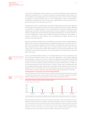In April 2017, ProSiebenSat.1 Group acquired ATV, an Austrian broadcasting group. Against this backdrop, ProSiebenSat.1 PULS 4 in Austria increased its combined audience share among 12- to 49- year-olds by 5.1 percentage points to 27.7% (previous year: 22.6%). The ATV and ATV2 stations accounted for a combined market share of 4.4 %. ProSiebenSat.1's stations in Switzerland increased their combined market share among viewers aged between 15 and 49 years to 17.2% in the second quarter of 2017 (previous year: 16.7%).

ProSiebenSat.1 pursues a complementary multi-station strategy. With this multi-channel approach, the Group gains new audiences and at the same time provides the advertising industry additional environments for targeted audiences. Thus, ProSiebenSat.1 also succeeds in addressing young target groups successfully. The Group is benefiting from its early recognition of the digital transformation as an opportunity and from actively promoting this development in its relevant markets. As a result of digitalization, a wide range of digital entertainment offerings are now available. TV content is consumed on various devices, such as smartphones or tablets, and thus can be accessed at any place and time.

Against this backdrop, ProSiebenSat.1 has established a successful portfolio of digital platforms. Based on the most recent data published by Arbeitsgemeinschaft Online Forschung (AGOF) in March 2017, the websites managed by SevenOne Media, a ProSiebenSat.1 advertising sales company, reached around 33 million unique users in Germany (previous month: around 34 million unique users). The multi-channel network (MCN) Studio71 is one of the three largest MCNs in the world with around 21 billion video views in the second quarter of 2017 (previous year: around 15 billion video views).

Due to cross-media marketing models on TV and digital platforms, the Group strengthens audience loyalty and extends its reach. At the same time, digitalization is also enabling additional revenue models. For instance, in the free TV business, ProSiebenSat.1 participates in the technical service fees that end customers pay to the respective providers for programs in HD quality. The number of HD users has been increasing continuously since 2012 and amounted to 7.6 million users in the second quarter of 2017 (previous year: 6.7 million). The pay-video-on-demand (Pay-VoD) portal maxdome also generates revenues from subscriptions (SVoD) and pay-per-view. In the second quarter of 2017, the number of SVoD users saw another year-on-year increase of 23% to over 1 million users. As a result, maxdome is one of the top three online video libraries in Germany.

#### Development of Economy and Advertising Market

In the first quarter of 2017, the German economy grew by 0.6% compared to the previous quarter in real terms and thus had a rather dynamic start to 2017. The German Institute for Economic Research (DIW) forecasts economic growth of 0.5% for the second quarter of 2017.



Significant growth momentum came from private consumption, which is benefiting from favorable labor market and income conditions. Against this backdrop, revenues in retail also grew by 1.7% in real terms in the first half of the year (January to May 2017); they account for around a quarter of private consumption. The online and mail order business developed dynamically, in particular (+7.2% in real terms). For the eurozone, the ifo Institute expects growth of 0.5% compared to the previous quarter and thus a stable continuation of the uptrend.



Future Business and Industry Environment, page 24.

Business Development of the Segments, page 14.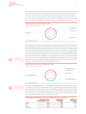According to Nielsen Media Research, gross TV advertising investment in Germany rose slightly by 0.5% to EUR 3.551 billion in the second quarter of 2017 (previous year: EUR 3.534 billion). On a half-year basis, there was a 1.6% increase to EUR 6.974 billion (previous year: EUR 6.867 billion). In comparison to other media, TV has the greatest relevance. In the second quarter of 2017, 47.2% of gross advertising investment went on TV advertising (previous year: 47.2%) (Fig. 4). This figure rose slightly to 47.5% from January to June (previous year: 47.4%).



On the basis of net revenues, from ProSiebenSat.1's perspective the overall advertising market had a slightly weaker performance in the first half of 2017 compared to the previous year; this is likely to have been driven primarily by the development of print. In the first six months, we estimate that the net TV advertising market also remained below the previous year. In addition to the high figures achieved in the previous year, this was mainly due to the shift of TV advertising budgets into the second half of 2017. Against this backdrop, the TV advertising revenues of ProSiebenSat.1 Group also declined on a net basis. Here, in addition to the above mentioned reasons, the acquisition related internalization of TV advertising revenues of Parship Elite, which were previously recognized as external revenues, had an impact. For the full year of 2017, the research institute Magna Global expects the TV advertising market to achieve net growth of 1.5 %.



Future Business and Industry Environment, page 24.

Business Development of the Segments, page 14.

According to Nielsen Media Research, ProSiebenSat.1 is market leader in the German TV advertising market (Fig. 5 and Fig. 6) and generated gross TV advertising revenues of EUR 1.452 billion in the second quarter of 2017 (previous year: EUR 1.497 billion). On a half-year basis, the Company generated revenues of EUR 2.868 billion (previous year: EUR 2.911 billion). This resulted in a market share of 40.9% for the second quarter of 2017 (previous year: 42.4%). In the first half of the year, the advertising market share was 41.1% (previous year: 42.4%).

| TV advertising markets in Germany, Austria and Switzerland on a gross basis (Fig. 6) |                                                                                        |                                                   |                                                   |  |  |
|--------------------------------------------------------------------------------------|----------------------------------------------------------------------------------------|---------------------------------------------------|---------------------------------------------------|--|--|
| in percent                                                                           | Development of the TV<br>advertising market in Q2 2017<br>Change against previous year | <b>Market shares</b><br>ProSiebenSat.1<br>02 2017 | <b>Market shares</b><br>ProSiebenSat.1<br>02 2016 |  |  |
| Germany                                                                              | $+0.5$                                                                                 | 40.9                                              | 42.4                                              |  |  |
| Austria                                                                              | $+2.7$                                                                                 | 36.9                                              | 36.3                                              |  |  |
| Switzerland                                                                          | $+0.2$                                                                                 | 29.3                                              | 25.3                                              |  |  |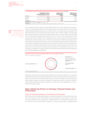| in percent  | Development of the TV<br>advertising market in H1 2017<br>Change against previous year | <b>Market shares</b><br>ProSiebenSat.1<br>H1 2017 | <b>Market shares</b><br>ProSiebenSat.1<br>H1 2016 |
|-------------|----------------------------------------------------------------------------------------|---------------------------------------------------|---------------------------------------------------|
| Germany     | $+1.6$                                                                                 | 41.1                                              | 42.4                                              |
| Austria     | 14.2                                                                                   | 36.5                                              | 36.2                                              |
| Switzerland | $-4.0$                                                                                 | 28.5                                              | 27.2                                              |

Germany: Gross, Nielsen Media. Austria: Gross, Media Focus.

Switzerland: The market shares relate to the German-speaking part of Switzerland, gross, Media Focus.



Nielsen Media Research designates gross figures for the online advertising market in Germany excluding, among others, Google/Youtube, Facebook.

After a relatively weak first quarter, the advertising market for in-stream video ads saw a slight increase of 0.5 percentage points to EUR 151.4 million (gross) in the second quarter of 2017 according to Nielsen Media Research (previous year: EUR 150.6 million). The market volume amounted to EUR 280.3 million (gross) in the first half of the year (previous year: EUR 282.5 million). In-stream video ads are forms of Internet video advertising shown before, after or during a video stream. By selling them, ProSiebenSat.1 generated gross revenues of EUR 71.7 million in the second quarter of 2017 (previous year: EUR 64.7 million). This corresponds to a year-on-year increase of 10.8% and a leading market share of 47.4% (previous year: 43.0%) (Fig. 7). Over the six-month period, the gross revenues of the ProSiebenSat.1 Group rose by 11.3% to EUR 128.5 million (previous year: EUR 115.4 million). This resulted in a market share of 45.8% (previous year: 40.9%). Overall, in Germany investments in online forms of advertising decreased by 4.2% to EUR 798.1 million (previous year: EUR 833.0 million). In the six-month period, the investments amounted to EUR 1.583 billion (previous year: EUR 1.581 billion). In addition to in-stream videos, the online advertising market also includes display ads such as traditional banners and buttons.



Advertising market data from Nielsen Media Research are important indicators for an objective assessment of the advertising market's development. However, gross data allow only limited conclusions to be drawn about actual advertising revenues as they do not take into account discounts, self-promotion or agency commission. In addition, the figures also include TV spots from media-forrevenue-share and media-for-equity transactions. Furthermore, major digital players are not reflected in the Nielsen figures.

## **Major Influencing Factors on Earnings, Financial Position and Performance**

### Impact of General Conditions on the Business Performance

We continued our profitable growth despite the weaker development of the advertising market in the second quarter of 2017. ProSiebenSat.1 Group concluded the second quarter of 2017 with revenues of EUR 962 million (previous year: EUR 886 million). This corresponds to growth of 9%. At the same time, the Group further increased its relevant earnings figures. Adjusted EBITDA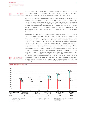Group Earnings, page 10. increased by 6% to EUR 270 million (previous year: EUR 254 million) while adjusted net income rose by 9% to EUR 144 million (previous year: EUR 133 million). In the first half of 2017, ProSiebenSat.1 increased its revenues by 11% to EUR 1,872 million (previous year: EUR 1,688 million).

The commerce portfolio was again the most important growth driver. The net TV advertising market saw a weaker performance year-on-year, resulting in a decrease of the Group's TV advertising revenues. We again anticipate a positive environment in the TV advertising market for the second half of the year. In the second quarter of 2017, ProSiebenSat.1 generated 49% or EUR 474 million of its consolidated revenues from video advertising on TV (previous year: 56% or EUR 497 million). The German market accounted for 85% of this figure (previous year: 87%). In the first half of the year, the Group generated 50% of its revenues from the sale of advertising time on TV (previous year: 56%).

ProSiebenSat.1 Group is consistently pushing ahead with its transformation from a traditional TV company into a digital group with a diversified business portfolio. The increasing importance of digital transmission is offering us new refinancing models and growth opportunities. This is why ProSiebenSat.1 is pursuing a digital entertainment strategy and covering modern forms of media usage in this way: In addition to advertising revenues, ProSiebenSat.1 is generating subscription- and transaction-based revenues in the Digital Entertainment segment, for instance, with maxdome's video-on-demand (VoD) offerings. By providing channels in HD quality, the Group has developed an additional business model in the free TV segment with dynamic revenue growth that is independent from economic conditions. However, our media usage behavior is not only changing as a result of digitalization but the considerable relevance of the Internet is influencing consumer behavior as a whole as well. This is reflected in the fact that nearly 50% of all Germans have purchased a product on the Internet as a result of TV advertising. This is why ProSiebenSat.1 is investing in commerce portals which address a broad mass market and whose product areas are particularly suited to video advertising. The Company measures the success of this strategy on the basis of revenue and earnings increases in its segments. The Group is on track to reach its 2018 targets (Fig. 8). At the end of the quarter, the Company has already generated 76% of its mid-term revenue target.

| FUR <sub>m</sub>                 | German-speaking<br>281 | Entertainment<br>215 |            | 815                            | 293                                         | Group<br>1.627 |
|----------------------------------|------------------------|----------------------|------------|--------------------------------|---------------------------------------------|----------------|
| Degree of achievement<br>02 2017 | Broadcasting           | Digital              |            | Digital Ventures &<br>Commerce | Content Production &<br><b>Global Sales</b> | ProSiebenSat.1 |
|                                  | 2012                   | 2013                 | 2014       | 2015                           | 2016                                        | 20181          |
| $\Omega$                         |                        |                      |            |                                |                                             |                |
| 500                              |                        |                      |            |                                |                                             |                |
| 1,000                            |                        |                      |            |                                |                                             |                |
| 1,500                            | 1,926                  | 1,998                |            |                                |                                             |                |
| 2,000                            | 95<br>335              | 484                  | 2,063      | 2,152                          | 2,210                                       | 2,301          |
| 2,500                            | 2,356                  | 2,605<br>124         | 202<br>611 | 371                            | 442                                         | 563            |
| 3,000                            |                        |                      | 2.876      | 262<br>465                     |                                             |                |
| 3,500                            |                        |                      |            | 3,261                          | 362<br>768                                  |                |
| 4,000                            |                        |                      |            |                                | 3.799                                       | 1,172          |
| 4,500                            |                        |                      |            |                                |                                             | 4,506<br>470   |
| 5,000                            |                        |                      |            |                                |                                             |                |
|                                  |                        |                      |            |                                |                                             |                |
|                                  |                        |                      |            |                                |                                             |                |

**Revenues growth targets 2018** (Fig. 8)

Business Development of the Segments, page 14.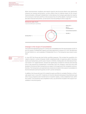While macroeconomic conditions and industry-specific and structural effects may significantly influence our business performance, currency effects have no material impact on the Group's financial situation. Although ProSiebenSat.1 is international, the Company generates the majority of its revenues in Germany and thus in the eurozone (Fig. 9). Further details, in particular on using derivative financial instruments, can be found in the Annual Report 2016 on page 159.



## Changes in the Scope of Consolidation

The Austrian broadcasting group ATV is being fully consolidated since the second quarter of 2017. In the first quarter, ProSiebenSat.1 signed a purchase agreement to acquire ATV from Tele München Fernseh GmbH & Co. via its subsidiary ProSiebenSat.1 PULS 4. The transaction was closed in early April.

In June 2017, the Group also took further portfolio measures. This includes the acquisition of a majority interest in Jochen Schweizer GmbH, a leading provider of experience gifts in Germany, Austria and Switzerland, and the sale of shares in eTRAVELi Holding AB to the international financial investor CVC Capital Partners. Etraveli has significantly increased its revenues and earnings since it was acquired by ProSiebenSat.1 in November 2015; the company's value has more than doubled in this period. Both transactions are subject to the approval of the competent cartel authorities. The transactions are expected to be closed and included in the scope of consolidation in the third (etraveli) and fourth quarters of 2017 (Jochen Schweizer).

In addition, the Group sold most of its media-for-equity portfolio to Lexington Partners, a US private equity fund, in June 2017. A selection of minority interests belonging to SevenVentures and other Group companies were transferred to Crosslantic Capital, a newly established fund, within this context. The transaction was completed in early July and will be included in the scope of consolidation in the third quarter.

Notes, Note 3 "Acquisitions, disposals and other transactions with subsidiaries," page 34.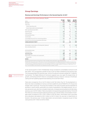## **Group Earnings**

#### Revenue and Earnings Performance in the Second Quarter of 2017

| Reconciliation of the income statement (Fig. 10) |  |
|--------------------------------------------------|--|
|                                                  |  |

| EUR m                                                   | Q2 2017<br><b>IFRS</b> | Adjust-<br>ments | Q2 2017<br>Adjusted |
|---------------------------------------------------------|------------------------|------------------|---------------------|
| Revenues                                                | 962                    | $-/-$            | 962                 |
| Total costs                                             | $-762$                 | $-30$            | $-732$              |
| thereof operating costs                                 | $-696$                 | - / -            | $-696$              |
| thereof depreciation and amortization <sup>1</sup>      | $-53$                  | $-17$            | $-36$               |
| Other operating income (EBIT)                           | 4                      | $\Omega$         | 4                   |
| Operating profit                                        | 205                    | $-29$            | 234                 |
| Financial result                                        | $-26$                  | $-7$             | $-19$               |
| Earnings before taxes                                   | 179                    | $-37$            | 215                 |
| Income taxes                                            | $-57$                  | 8                | $-65$               |
| Consolidated net profit from continuing operations      | 121                    | $-29$            | 150                 |
| Earnings from discontinued operations after taxes       | $-/-$                  | $-/-$            | $-/-$               |
| <b>CONSOLIDATED NET PROFIT</b>                          | 121                    | $-29$            | 150                 |
| Attributable to shareholders of ProSiebenSat 1 Media SF | 117                    | $-27$            | $144^{2}$           |
| Non-controlling interests                               | 4                      | $-2$             | 6                   |
| Earnings before taxes                                   | 179                    | $-37$            | 215                 |
| Financial result                                        | $-26$                  | $-7$             | $-19$               |
| Operating profit                                        | 205                    | $-29$            | 234                 |
| Depreciation, amortization and impairments              | $-53$                  | $-17$            | $-36$               |
| thereof PPA                                             | $-13$                  | $-13$            | $-/-$               |
| <b>EBITDA</b>                                           | 258                    | $-12$            | 2703                |

**1** Depreciation/amortization and impairment of other intangible assets and property, plant and equipment.

ProSiebenSat.1 Group also uses non-IFRS figures in the form of the adjusted net income (**2**) and adjusted EBITDA (**3**). At the beginning of financial year 2017, ProSiebenSat.1 publishes a full income statement adjusted for certain influencing factors. This publication takes into account the development of reporting practices for non-IFRS figures and more stringent regulatory transparency requirements in this area. The Annual Report 2016 comprises more detailed information on pages 73 and 74.

Business Development of the Segments, page 14. In the second quarter of 2017, ProSiebenSat.1 Group increased its consolidated revenues to EUR 962 million. This corresponds to growth of 9% or EUR 76 million compared to the previous year. The Group generated 51% (previous year: 44%) of its external revenues outside the TV advertising business. The Digital Ventures & Commerce segment was once again the largest driver of growth, contributing EUR 227 million to consolidated revenues. However, revenues in the Broadcasting German-speaking segment decreased by 2% to EUR 529 million.

Total costs increased by 11% or EUR 74 million to EUR 762 million (Fig. 10). The development reflects the initial consolidation of various commerce platforms and of PARSHIP ELITE Group since October 2016 in particular. The Group has invested in new areas of growth and has expanded its portfolio in recent months, particularly as a result of acquisitions in the digital business. As a result, personnel costs, which are included in total costs, increased and amounted to EUR 168 million (previous year: EUR 137 million). Total consumption of programming assets declined by 11 % to EUR 190 million as a result of program planning (previous year: EUR 212 million). Amortization of intangible assets increased by 5% or EUR 2 million to EUR 38 million. Amortization due to purchase price allocations decreased by EUR 2 million to EUR 13 million; this was due to impairments on brands in the previous year. In total, depreciation and amortization recognized as part of total costs grew by EUR 7 million to EUR 53 million.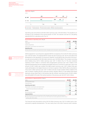

Operating costs amounted to EUR 696 million (previous year: EUR 638 million). This equates to an increase of 9% compared to the second quarter of 2016. The relevant cost item for calculating adjusted EBITDA is operating costs (Fig. 12).

| <b>Reconciliation of operating costs (Fig. 12)</b>                                                       |         |  |
|----------------------------------------------------------------------------------------------------------|---------|--|
| FUR <sub>m</sub>                                                                                         | 02 2017 |  |
| Total costs                                                                                              | 762     |  |
| Expense adjustmens                                                                                       |         |  |
| Depreciation, amortization and impairments <sup>1</sup>                                                  |         |  |
| Operating costs                                                                                          |         |  |
| 1 Depreciation/amortization and impairment of other intangible assets and property, plant and equipment. |         |  |

EBITDA adjusted for reconciling items (adjusted EBITDA) increased by 6% to EUR 270 million (previous year: EUR 254 million). The adjusted EBITDA margin was 28.1% (previous year: 28.7%) and reflects the development of the distribution of revenues by segment. Group EBITDA was at the level of the previous year and amounted to EUR 258 million (previous year: EUR 258 million). This includes reconciling items totaling minus EUR 12 million (previous year: EUR +4 million) (Fig. 13). This also comprises expenses of EUR 4 million in connection with reorganizations (previous year: EUR 2 million) in the segments Broadcasting German-speaking and Digital Ventures & Commerce in particular. Costs in the amount of EUR 5 million also resulted from M&A projects (previous year: EUR 5 million) that were mainly attributable to the Digital Ventures & Commerce segment. Other EBITDA effects amounted to minus EUR 4 million (previous year: EUR +5 million) and also include valuation effects related to the sale of eTRAVELi Holding AB and in particular positive valuation effects on cash-settled share-based payments (Group Share Plan) in the previous year. By contrast, reconciling income of EUR 6 million was attributable to the sale of the Games business in the previous year (Q2 2017: EUR 0 million).

| Reconciliation of adjusted EBITDA (Fig. 13)             |         |         |
|---------------------------------------------------------|---------|---------|
| EUR m                                                   | Q2 2017 | 02 2016 |
| Earnings before taxes                                   | 179     |         |
| Financial result                                        | -26     | -10     |
| Operating profit (EBIT)                                 | 205     |         |
| Depreciation, amortization and impairments <sup>1</sup> | 53      |         |
| thereof from purchase price allocations                 |         |         |
| <b>EBITDA</b>                                           | 258     | 258     |
| Reconciling items (net) <sup>2</sup>                    |         |         |
| <b>Adjusted EBITDA</b>                                  |         |         |
|                                                         |         |         |

**1** Depreciation/amortization and impairment of other intangible assets and property, plant and equipment.

**2** Expense adjustments of EUR 12 million (previous year: EUR 3 million) less income adjustments of EUR 0 million

(previous year: EUR 6 million).

The financial result amounted to minus EUR 26 million (previous year: EUR –10 million) and is characterized by opposite developments. This was mainly due to the other financial result's develop-

ï

Further information can be found in the Annual Report 2016.

Business Development of the Segments, page 14.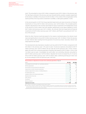ment. This amounted to minus EUR 11 million compared to plus EUR 12 million in the previous year. The high figure achieved in the previous year was characterized by a positive valuation adjustment to the shares in ZeniMax in the amount of EUR 30 million. In the context of the reorganization of the Games portfolio, the Group sold its investment in ZeniMax, a video game publisher, in 2016.

In the second quarter of 2017, the Group reported impairments and value recoveries on financial investments of minus EUR 10 million (net) (previous year: EUR 18 million). This included positive valuation adjustments to the recently sold media-for-equity investments of ProSiebenSat.1 Group in the amount of EUR 6 million (net) and valuation adjustments to put option liabilities of minus EUR 7 million (net) (previous year: EUR –4 million). By contrast, there are impairments of financial investments of EUR 9 million (previous year: EUR 7 million), with PlutoTV accounting for EUR 7 million of this amount.

While the other financial result decreased for the reasons mentioned above, the interest result improved significantly to minus EUR 14 million (previous year: EUR –23 million). Firstly, this was due to lower interest rates resulting from the payment of income tax arrears. Secondly, interest rate swap expenses decreased.

The developments described above resulted in pre-tax profit of EUR 179 million compared to EUR 201 million in the previous year (–11% year-on-year). Income tax expenses amounted to EUR 57 million (previous year: EUR 63 million); the tax rate was 32.0% (previous year: 31.5%). Consolidated net profit from continuing operations therefore decreased to EUR 121 million (–12% or EUR –16 million year-on-year). Consolidated net profit (after non-controlling interests) amounted to EUR 117 million (previous year: EUR 136 million). Adjusted net income increased (Fig. 14). It rose by 9% to EUR 144 million (previous year: EUR 133 million). Basic underlying earnings per share rose by 2% accordingly to EUR 0.63 (previous year: EUR 0.62).

| Reconciliation of adjusted net income from continuing operations (Fig. 14) |         |         |  |  |
|----------------------------------------------------------------------------|---------|---------|--|--|
| FUR <sub>m</sub>                                                           | Q2 2017 | Q2 2016 |  |  |
| Consolidated net profit (after non-controlling interests)                  | 117     | 136     |  |  |
| EBITDA adjustments                                                         | 12      |         |  |  |
| Amortization from purchase price allocations <sup>1</sup>                  | 15      | 15      |  |  |
| Impairments on other financial investments                                 | 15      |         |  |  |
| Valuation adjustment to shares in ZeniMax Media Inc.                       | $-1-$   | -30     |  |  |
| Put options/earn-outs                                                      |         | h       |  |  |
| Valuation effects from financial derivatives                               |         |         |  |  |
| Reassessment of tax risks                                                  |         |         |  |  |
| Other effects <sup>2</sup>                                                 | - 9     |         |  |  |
| Tax effects                                                                | -8      |         |  |  |
| Minority interests                                                         |         |         |  |  |
| Adjusted net income                                                        | ΔД      | 133     |  |  |

**1** Incl. effects on associates consolidated using the equity method.

**2** Other effects comprises valuation effects relating to strategic investments in the Digital Ventures & Commerce segment amounting to minus EUR 14 million (previous year: EUR –1 million) and impairments on leasehold improvements and other intangible assets in the amount of EUR 4 million (previous year: EUR 0 million).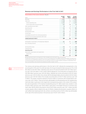| EUR <sub>m</sub>                                        | H1 2017<br><b>IFRS</b> | Adjust-<br>ments | H1 2017<br>Adjusted |
|---------------------------------------------------------|------------------------|------------------|---------------------|
| Revenues                                                | 1,872                  | $-/-$            | 1,872               |
| Total costs                                             | $-1,568$               | $-76$            | $-1,492$            |
| thereof operating costs                                 | $-1.423$               | $-/-$            | $-1.423$            |
| thereof depreciation and amortization <sup>1</sup>      | $-107$                 | $-38$            | $-69$               |
| Other operating income (EBIT)                           | 10                     | $\Omega$         | 9                   |
| Operating profit                                        | 314                    | $-76$            | 389                 |
| Financial result                                        | $-37$                  | 4                | $-41$               |
| Earnings before taxes                                   | 276                    | $-72$            | 348                 |
| Income taxes                                            | $-88$                  | 17               | $-105$              |
| Consolidated net profit from continuing operations      | 188                    | $-55$            | 243                 |
| Earnings from discontinued operations after taxes       | $-/-$                  | $-/-$            | $-/-$               |
| CONSOLIDATED NET PROFIT                                 | 188                    | $-55$            | 243                 |
| Attributable to shareholders of ProSiebenSat.1 Media SE | 181                    | $-51$            | 2332                |
| Non-controlling interests                               | $\overline{7}$         | $-4$             | 10                  |
| Earnings before taxes                                   | 276                    | $-72$            | 348                 |
| Financial result                                        | $-37$                  | 4                | $-41$               |
| Operating profit                                        | 314                    | $-76$            | 389                 |
| Depreciation, amortization and impairments              | $-107$                 | $-38$            | $-69$               |
| thereof PPA                                             | $-27$                  | $-27$            | $-/-$               |
| <b>EBITDA</b>                                           | 421                    | -37              | 4583                |

### Revenue and Earnings Performance in the First Half of 2017

**1** Depreciation/amortization and impairment of other intangible assets and property, plant and equipment.

ProSiebenSat.1 Group also uses non-IFRS figures in the form of the adjusted net income (**2**) and adjusted EBITDA (**3**). At the beginning of financial year 2017, ProSiebenSat 1 publishes a full income statement adjusted for certain influencing factors. This publication takes into account the development of reporting practices for non-IFRS figures and more stringent regulatory transparency requirements in this area. The Annual Report 2016 comprises more detailed information on pages 73 and 74.

Business Development of the Segments, page 14.

The revenue and earnings performance in the first half of 2017 reflected the developments in the second quarter of this year. On a half-year basis, the Group increased its total revenues by 11% or EUR 184 million to EUR 1,872 million. Operating costs rose by 12% and amounted to EUR 1,423 million (previous year: EUR 1,274 million). In this context, EBITDA adjusted for reconciling items increased by 8% to EUR 458 million (previous year: EUR 424 million). Adjusted net income amounted to EUR 233 million (previous year: EUR 213 million). By contrast, EBITDA developed stably and amounted to EUR 421 million (previous year: EUR 420 million); this includes reconciling items of EUR 37 million (previous year: EUR 5 million). This largely comprises expenses of EUR 20 million in connection with reorganizations (previous year: EUR 3 million). These are primarily attributable to the Broadcasting German-speaking segment and relate in particular to the impairment of programming assets in the context of the acquisition and reorganization of the Austrian broadcasting group ATV. M&A projects also resulted in costs of EUR 9 million (previous year: EUR 8 million), particularly in the Digital Ventures & Commerce segment. Other EBITDA effects amounted to minus EUR 8 million (previous year: EUR –1 million) and also include valuation effects related to the sale of eTRAVELi Holding AB and positive valuation effects on cash-settled share-based payments. By contrast, reconciling income of EUR 6 million was attributable to the sale of the Games business in the previous year (H1 2017: EUR 0 million).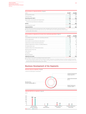| Reconciliation of adjusted EBITDA (Fig. 16)             |                     |                     |
|---------------------------------------------------------|---------------------|---------------------|
| FUR <sub>m</sub>                                        | H <sub>1</sub> 2017 | H <sub>1</sub> 2016 |
| Earnings before taxes                                   | 276                 |                     |
| Financial result                                        |                     |                     |
| Operating profit (EBIT)                                 |                     | 833                 |
| Depreciation, amortization and impairments <sup>1</sup> | 107                 | 86                  |
| thereof from purchase price allocations                 |                     |                     |
| FRITDA                                                  |                     |                     |
| Reconciling items (net) <sup>2</sup>                    |                     |                     |
| Adjusted EBITDA                                         |                     |                     |

**1** Depreciation/amortization and impairment of other intangible assets and property, plant and equipment.

**2** Expense adjustments of EUR 38 million (previous year: EUR 11 million) less income adjustments of EUR 0 million

(previous year: EUR 6 million).

 $\overline{Q2}$  2017  $\overline{Q2}$  2016

|                                                           | Reconciliation of adjusted net income from continuing operations (Fig. 17) |                     |  |  |
|-----------------------------------------------------------|----------------------------------------------------------------------------|---------------------|--|--|
| EUR m                                                     | H <sub>1</sub> 2017                                                        | H <sub>1</sub> 2016 |  |  |
| Consolidated net profit (after non-controlling interests) | 181                                                                        | 203                 |  |  |
| EBITDA adjustments                                        | 37                                                                         |                     |  |  |
| Amortization from purchase price allocations <sup>1</sup> | 30                                                                         | 25                  |  |  |
| Impairments on other financial investments                | 17                                                                         |                     |  |  |
| Valuation adjustment to shares in ZeniMax Media Inc.      |                                                                            | -30                 |  |  |
| Put options/earn-outs                                     | - 3                                                                        |                     |  |  |
| Valuation effects from financial derivatives              |                                                                            |                     |  |  |
| Reassessment of tax risks                                 |                                                                            |                     |  |  |
| Other effects <sup>2</sup>                                | $-11$                                                                      |                     |  |  |
| Tax effects                                               | $-17$                                                                      |                     |  |  |
| Minority interests                                        |                                                                            |                     |  |  |
| Adjusted net income                                       | 233                                                                        | 213                 |  |  |

**1** Incl. effects on associates consolidated using the equity method.

**2** Other effects comprises valuation effects relating to strategic investments in the Digital Ventures & Commerce segment amounting to minus EUR 23 million (previous year: EUR –1 million) and impairments on leasehold improvements and other intangible assets in the amount of EUR 11 million (previous year: EUR 0 million).

## **Business Development of the Segments**

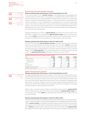

### Broadcasting German-speaking Segment

#### Revenue and Earnings Performance in the Second Quarter of 2017

In the second quarter of 2017, external revenues in the Broadcasting German-speaking segment amounted to EUR 529 million. This equates to a decrease of 2 % or EUR 12 million compared to the previous year. The development of revenues reflects the decline in TV advertising revenues in Germany and Switzerland. However, TV advertising revenues in Austria grew as a result of acquisitions. In April, ProSiebenSat.1 Group acquired ATV, an Austrian broadcasting group. At the same time, distribution revenues continued to develop positively in the second quarter of 2017. Internal revenues resulting from the commercial relationship between the TV and digital business rose by 42 % to EUR 34 million in the Broadcasting German-speaking segment (previous year: EUR 24 million).

Despite the slight decline in revenues, adjusted EBITDA increased by 4% or EUR 7 million to EUR 208 million. In addition, the corresponding adjusted EBITDA margin rose to 37.0% (previous year: 35.6%). EBITDA amounted to EUR 205 million (previous year: EUR 206 million). In the second quarter, ProSiebenSat.1 Group benefited from lower program costs in particular.

### Revenue and Earnings Performance in the First Half of 2017

In the first half of the year, external segment revenues amounted to EUR 1,031 million, which was almost on a par with the previous year (previous year: EUR 1,034 million). **EBITDA** decreased by 3 % to EUR 321 million (previous year: EUR 332 million). This includes reconciling items which were particularly due to reorganizations in connection with the acquisition of ATV in the first quarter of 2017. EBITDA adjusted for reconciling items grew by 4% or EUR 13 million to EUR 345 million. The **adjusted EBITDA margin** amounted to 31.3% (previous year: 30.8%).

| FUR <sub>m</sub>                           | 02 2017 | 02 2016                                | H <sub>1</sub> 2017                   | H <sub>1</sub> 2016 |
|--------------------------------------------|---------|----------------------------------------|---------------------------------------|---------------------|
| Segment revenues                           | 562     | 564                                    | 1.102                                 |                     |
| External revenues                          |         |                                        | 1.031                                 |                     |
| Internal revenues                          |         |                                        |                                       |                     |
| ГΠΔ                                        |         | -------------------------------------- | ------------------------------------- |                     |
| iusted EBITDA                              |         |                                        |                                       | くくつ                 |
| Adjusted EBITDA margin <sup>1</sup> (in %) |         |                                        |                                       | 0 R                 |

**1** Based on segment revenues.

### Digital Entertainment Segment

### Revenue and Earnings Performance in the Second Quarter of 2017

The Digital Entertainment segment saw a decline in revenues by 2% to EUR 108 million in the second quarter of 2017 (previous year: EUR 110 million). This is particularly due to the deconsolidation of the Games business at the end of the second quarter of 2016. Declining revenues in the music and event business (Adjacent) also had an impact due to a persistently challenging market environment. By contrast, revenues in the online video business developed dynamically; the multi-channel network (MCN) Studio71 was the significant growth driver. Adjusted for the impact of Games, segment revenues would have risen by 8%.

Higher costs as a result of growth of Studio71, among others, led to a decline in **adjusted EBITDA** to EUR 7 million (previous year: EUR 16 million). The corresponding adjusted EBITDA margin was 6.2% (previous year: 13.4%). EBITDA also decreased and amounted to EUR 8 million (previous year: EUR 19 million).

#### Revenue and Earnings Performance in the First Half of 2017

In the first half of the year, the strategically important online video business only partially compensated for the deconsolidation of Games and the development of the Adjacent business. At EUR 205 million, external revenues in the Digital Entertainment segment were at the level of the previous year (previous year: EUR 205 million). Earnings figures declined at the same time: In the six-month period, EBITDA amounted to EUR 4 million (previous year: EUR 18 million) while adjusted EBITDA amounted to EUR 5 million after EUR 15 million in the previous year. This decline in earnings is also



Notes, Note 2 "Seament reporting, page 33.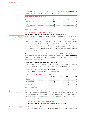Notes, Note 2 "Segment reporting," page 33. due to the development of the Adjacent business. As a result, the corresponding **adjusted EBITDA** margin of the segment decreased to 2.4 % (previous year: 7.1 %).

| FIIR <sub>m</sub>                       | 02 2017 | 02 2016 | H <sub>1</sub> 2017 | 2016 |
|-----------------------------------------|---------|---------|---------------------|------|
| Segment revenues                        |         |         |                     |      |
| External revenues                       |         |         |                     |      |
| Internal revenues                       |         |         |                     |      |
| ^ ה                                     |         |         |                     |      |
| Adjusted EBITDA                         |         | h       |                     |      |
| usted EBITDA margin <sup>1</sup> (in %) |         |         |                     |      |

### Digital Ventures & Commerce Segment

### Revenue and Earnings Performance in the Second Quarter of 2017

External revenues in the Digital Ventures & Commerce segment continued to grow significantly and amounted to EUR 227 million in the second quarter of 2017 (previous year: EUR 152 million). All four commerce verticals (Online Dating, Online Price Comparison, Online Travel, and Lifestyle Commerce) contributed to this revenue growth of 50%. The Online Dating vertical with Parship and ElitePartner made the largest contribution to growth. PARSHIP ELITE Group has been fully consolidated since October 2016. The Lifestyle Commerce vertical also recorded higher revenues; this was due in particular to the initial consolidation of WindStar in 2016, a leading provider of health products, and to the fashion platform Stylight. Flaconi and Amorelie also contributed to the Group's organic growth.

This dynamic revenue growth led to a 58% increase in adjusted EBITDA to EUR 45 million compared to the second quarter of 2016 (previous year: EUR 29 million). The adjusted EBITDA margin grew to 19.7% (previous year: 18.1%). EBITDA increased by 40% or EUR 10 million to EUR 35 million. Costs rose as a result of growth.

### Revenue and Earnings Performance in the First Half of 2017

In the first half of the year, the segment's revenues and earnings grew by double digits, which reflects the development of the second quarter of the year. External revenues rose by 52% to EUR 457 million (previous year: EUR 302 million). Adjusted EBITDA increased by 40% to EUR 92 million (previous year: EUR 66 million) while the adjusted EBITDA margin amounted to 20.0% (previous year: 20.9%). EBITDA grew by 33% or EUR 20 million to EUR 80 million.

| FUR <sub>m</sub>                           | 02 2017 | 02 2016                     | H <sub>1</sub> 2017 | H <sub>1</sub> 2016 |
|--------------------------------------------|---------|-----------------------------|---------------------|---------------------|
| Segment revenues                           |         | 158                         |                     |                     |
| External revenues                          |         | 152                         |                     |                     |
| Internal revenues                          |         |                             |                     |                     |
| FRITDA                                     |         |                             |                     |                     |
| Adjusted EBITDA                            |         | *************************** |                     |                     |
| Adjusted EBITDA margin <sup>1</sup> (in %) |         |                             |                     |                     |

Changes in the Scope of Consolidation, page 9.

The deconsolidation of etraveli is set to take place in the third quarter of 2017 and is expected to result in an adjustment of ProSiebenSat.1 Group's medium-term financial targets for 2018. The Group will provide more details — while taking into account the progress of the strategic review for the rest of the online travel business in addition to acquisitions that may be made until then - at the Capital Markets Day (CMD) on December 6, 2017.

## Content Production & Global Sales Segment

### Revenue and Earnings Performance in the Second Quarter of 2017



In the Content Production & Global Sales segment, external revenues increased by 15% to EUR 89 million (previous year: EUR 77 million). Revenues in the second quarter grew both organically and as a result of acquisitions. On the one hand, this was due to revenue growth from various Red Arrow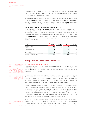production subsidiaries, e.g. Kinetic Content, Endor Productions and Left/Right. On the other hand, revenues increased due to acquisitions, with the initial consolidation of the US production company 44 Blue Studios in July 2016 contributing to this.

The segment's costs rose proportionally to revenues due to the larger business volume, resulting in a rise in adjusted EBITDA by 10% or EUR 1 million to EUR 12 million. The adjusted EBITDA margin was on a par with the previous year and amounted to 10.9% (previous year: 11.0%). EBITDA grew by 20% to EUR 12 million compared to the second quarter of 2016 (previous year: EUR 10 million).

#### Revenue and Earnings Performance in the First Half of 2017

In the first half of the year, external revenues rose by 19% to EUR 168 million (previous year: EUR 141 million). Both the production business in English-speaking markets and the global sales business contributed to revenue growth. The reason for this included the start of licenses for new productions. Key operating earnings figures grew as a result of the significant increase in revenues. Adjusted EBITDA improved by 34% or EUR 5 million to EUR 21 million while the corresponding adjusted EBITDA margin rose to 10.0% (previous year: 8.9%). EBITDA increased by 51% or EUR 7 million to EUR 21 million.

| FUR <sub>m</sub>                        | 02 2017 | 02 2016 | H <sub>1</sub> 2017 | H <sub>1</sub> 2016 |
|-----------------------------------------|---------|---------|---------------------|---------------------|
| Seament revenues                        |         |         |                     |                     |
| External revenues                       |         |         |                     |                     |
| Internal revenues                       |         |         |                     |                     |
|                                         |         |         |                     |                     |
| sted FBITDA                             |         |         |                     |                     |
| usted EBITDA margin <sup>1</sup> (in %) | 10.9    |         |                     |                     |

**Group Financial Position and Performance**

## Borrowings and Financing Analysis

As of June 30, 2017, ProSiebenSat.1 Group's debt capital had a share of 83% in total equity and liabilities (December 31, 2016: 78%; June 30, 2016: 88%). At 63% or EUR 3,183 million, the majority of debt capital was attributable to non-current and current financial liabilities (December 31, 2016: 62%; June 30, 2016: 57%).

ProSiebenSat.1 uses various financing instruments and practices active financial management. The Group extended the duration of its loan (term loan) and the revolving credit facility (RCF) by two years in April 2017 and increased the nominal volume of the RCF by EUR 150 million to EUR 750 million. In addition, ProSiebenSat.1 Group adjusted other contract terms. In the context of these refinancing measures, the previous financial covenant was also eliminated.

Interest payable on the term loan and the RCF is variable and based on Euribor money market rates plus an additional credit margin. ProSiebenSat.1 Group hedges potential risks from changes in variable interest rates with derivative financial instruments in the form of interest rate swaps and interest rate options. The proportion of fixed interest was approximately 98% of the entire long-term financing portfolio as of June 30, 2017 (December 31, 2016: approx. 98%; June 30, 2016: 100%). The average fixed rate of the interest rate swaps was 1.88% per annum as of June 30, 2017. The average interest rate ceiling of the interest rate caps was 0.0% per annum.

The target range may i be exceeded for a short period of time as a result of fluctuations during the year.

The leverage ratio is a key indicator for Group-wide financial and investment planning. The target is a value between 1.5 and 2.5 at the end of the relevant year. Net financial debt amounted to EUR 2,425 million (December 31, 2016: EUR 1,913 million; June 30, 2016: EUR 2,005 million). As a result, the leverage ratio, which is the ratio of net debt to adjusted EBITDA over the last twelve months (LTM adjusted

**is a** Ratings represent an <br>**independent assessment** of an entity's credit quality. However, rating agencies do not take ProSiebenSat.1 Group's loan agreement or notes into account in their credit ratings.



**i** Further information on the<br>different financing different financing instruments can be found on pages 126 and 127 of the Annual Report 2016.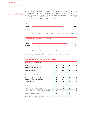Analysis of Liquidity and Capital Expenditure,

page 18.



EBITDA), was 2.3 and thus within the target range (December 31, 2016: 1.9; June 30, 2016: 2.1). This development primarily reflects the dividend payment of EUR 435 million in May 2017 (previous year: EUR 386 million). In the previous year, the dividend was paid out in the third quarter. The payout ratio was 84.7% (previous year: 82.6%). The Group pursues an earnings-oriented dividend policy with a payout ratio of 80% to 90% based on adjusted net income.

| EUR m      |       |      |       |        |       |       |
|------------|-------|------|-------|--------|-------|-------|
| 06/30/2017 |       |      |       |        |       | 2,425 |
|            |       |      |       |        |       | 1,913 |
| 12/31/2016 |       |      |       |        |       |       |
| 06/30/2016 |       |      |       |        |       | 2.005 |
|            |       |      |       |        |       |       |
|            | . 500 | .000 | 1.500 | :2.000 | 2.500 | 3 NUV |

**1** After reclassification of cash and cash equivalents of eTRAVELi Holding AB.

#### **Ratio net financial debt to LTM adjusted EBITDA1** (Fig. 25)

| ۹ |  |
|---|--|
|   |  |

| 06/30/2017<br>12/31/2016<br>l.9<br>06/30/2016 |  | 0.5 |  | 2.5 |
|-----------------------------------------------|--|-----|--|-----|
|                                               |  |     |  |     |
|                                               |  |     |  |     |
|                                               |  |     |  |     |
|                                               |  |     |  | 2.3 |

**1** After reclassification of cash and cash equivalents of eTRAVELi Holding AB.

Net financial debt is defined as total borrowings minus cash and cash equivalents and certain current financial assets. The leverage ratio is derived by calculating the ratio of net financial debt to adjusted EBITDA of the last twelve months (LTM adjusted EBITDA).

## Analysis of Liquidity and Capital Expenditure

| <b>Statement of cash flows</b> (Fig. 26)                                                                                     |         |          |         |         |
|------------------------------------------------------------------------------------------------------------------------------|---------|----------|---------|---------|
| FUR <sub>m</sub>                                                                                                             | Q2 2017 | Q2 2016  | H1 2017 | H1 2016 |
| Profit from continuing operations                                                                                            | 121     | 137      | 188     | 205     |
| Result from discontinued operations                                                                                          | $-/-$   | $-42$    | $-/-$   | $-42$   |
| Cash flow from operating activities<br>of continuing operations                                                              | 346     | 310      | 649     | 675     |
| Cash flow from operating activities<br>of discontinued operations                                                            | $-/-$   | $-40$    | $-/-$   | $-42$   |
| Cash flow from investing activities<br>of continuing operations                                                              | $-366$  | $-310$   | $-685$  | $-677$  |
| Free cash flow of continuing operations                                                                                      | $-20$   | 0        | $-37$   | $-2$    |
| Free cash flow of discontinued operations                                                                                    | $-/-$   | $-40$    | $-/-$   | $-42$   |
| Free cash flow (total)                                                                                                       | $-20$   | $-40$    | $-37$   | $-45$   |
| Cash flow from financing activities<br>of continuing operations                                                              | $-448$  | $-11$    | $-404$  | $-16$   |
| Effect of foreign exchange rate changes on<br>cash and cash equivalents                                                      | $-5$    | $\Omega$ | $-6$    | -3      |
| Change in cash and cash equivalents total                                                                                    | $-472$  | $-51$    | $-448$  | $-63$   |
| Cash and cash equivalents at beginning of reporting period                                                                   | 1.296   | 723      | 1,271   | 734     |
| Cash and cash equivalents available for sale<br>at the end of the reporting period                                           | 65      | $-/-$    | 65      |         |
| Cash and cash equivalents at end of reporting period                                                                         | 758     | 672      | 758     | 672     |
| 1 Cash and cash equivalents shown in the statement of cash flows correspond to the cash and cash equivalents reported on the |         |          |         |         |

statement of financial position as of the respective closing date.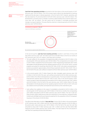Group Earnings, §∣≣ page 10. Cash flow from operating activities amounted to EUR 346 million in the second quarter of 2017 (previous year: EUR 310 million). This 12 % increase mainly reflects the development of working capital and the decrease in interest payments. In the first half of 2017, however, operating cash flow decreased by 4 % and amounted to EUR 649 million (previous year: EUR 675 million). This development is primarily due to changes in working capital totaling minus EUR 83 million (previous year: EUR –26 million). This was mainly due to increases in receivable portfolios and changes in program liabilities. This was offset by a decline in interest payments of EUR 37 million (previous year: EUR 58 million).



In the second quarter, cash flow from investing activities resulted in cash flows of minus EUR 366 million (previous year: EUR –310 million) and minus EUR 685 million in the first six months of 2017 (previous year: EUR –677 million). Cash flows were as follows:

- > The cash outflow for the acquisition of programming rights amounted to EUR 273 million in the second quarter of the year (previous year: EUR 242 million). This corresponds to an increase of 13% or EUR 31 million compared to the second quarter of 2016. Programming investments were mostly attributable to the Broadcasting German-speaking segment (Q2 2017: 97%; H1 2017: 96%). Licensed programs accounted for around two thirds (Q2 2017: 65%; H1 2017: 61%) while commissioned productions accounted for approximately a third of these investments (Q2 2017: 35%; H1 2017: 37%). In the first half of the year, cash outflows increased to EUR 523 million (previous year: EUR 519 million).
- > In the second quarter, EUR 27 million flowed into other intangible assets (previous year: EUR 31 million). In the first half of the year, cash outflows amounted to EUR 50 million (previous year: EUR 54 million); this reflects developments on a quarterly basis. The Group invested in the Digital Entertainment segment above all (Q2 2017: 38%; H1 2017: 43%). In the second quarter, investments in property, plant and equipment amounted to EUR 10 million (previous year: EUR 7 million) and EUR 18 million in the first half of the year (previous year: EUR 12 million). Most of this was attributable to the Broadcasting German-speaking segment (Q2 2017: 69%; H1 2017: 64%) and was related to technical facilities and leasehold improvements at the Unterföhring site.
- > Cash outflow from additions to the scope of consolidation amounted to EUR 54 million in the second quarter of 2017 (previous year: EUR 19 million). In the first six months, the corresponding cash outflow amounted to EUR 90 million (previous year: EUR 74 million). The rise in cash outflows primarily reflects deferred purchase price payments for the production companies Kinetic Content and Left/Right and the purchase price payment for the acquisition of the ATV broadcasting group in the amount of EUR 28 million.

The effects described above resulted in free cash flow of minus EUR 20 million in the second quarter of 2017 (previous year: EUR 0 million) and free cash flow before M&A measures of EUR 40 million in the period under review (previous year: EUR 31 million). In the first half of the year, free cash flow amounted to minus EUR 37 million (previous year: EUR –2 million) and free cash flow before M&A measures of EUR 70 million (previous year: EUR 94 million). The main reason for this is the decline in cash flow from operating activities described above.

Programming investments ì are a focal point in investing activities. In addition to the purchasing of licensed formats and commissioned productions, in-house formats secure the Group's programming supply. They are based on the development and implementation of own ideas and, unlike commissioned productions, are produced primarily for broadcasting in the near future. For this reason, they are recognized immediately as an expense in cost of sales and are not considered as an investment.



initial consolidations are not reported as segment-specific investments. Funds used for the acquisition of the initially consolidated entities are shown as "cash outflow from additions to the scope of

Assets resulting from

consolidation."

 Free cash flow: Total cash and Ĭ cash equivalents generated in operating business less the balance of cash used and generated in the context of investing activities. Free cash flow before M&A: Free cash flow adjusted for cash used and generated by M&A transactions (excl. transaction costs) related to majority acquisitions that are carried out and planned and the purchase and sale of investments accounted for using the equity method.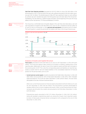Cash flow from financing activities decreased by EUR 437 million to minus EUR 448 million in the second quarter of 2017. In the first half of the year, cash outflows amounted to EUR 404 million (previous year: EUR -16 million). The dividend payout in May 2017 had a significant impact on cash outflows; by contrast, last year's dividend was paid in the third quarter due to the later date of the Annual General Meeting. This was offset by a capital increase at Studio71. At the beginning of the year, the Group added a further two partners, TF1 Group and Mediaset, to its MCN.



page 20.

The Group has a comfortable level of liquidity. Based on the cash flows described above, cash and cash equivalents increased to EUR 758 million as of June 30, 2017, compared to EUR 672 million as of June 30, 2016. As of December 31, 2016, cash and cash equivalents amounted to EUR 1,271 million. The fourth quarter is usually the period with the highest cash flows in the Group's financial year.



## Analysis of Assets and Capital Structure



Total assets amounted to EUR 6,128 million as of June 30, 2017 (December 31, 2016: EUR 6,603 million). The Group has signed a sales contract for all shares in eTRAVELi Holding AB as of the reporting date. Additionally, the sale of most of the media-for-equity portfolio was concluded in the second quarter of 2017. This is why the corresponding assets and liabilities are reported separately as assets held for sale and related liabilities in the consolidated statement of financial position for the period ended June 30, 2017.

> Current and non-current assets: Goodwill amounted to EUR 1,868 million (December 31, 2016: EUR 1,860 million) and accounted for 30% of total assets (December 31, 2016: 28%). Other intangible assets decreased by 7% to EUR 762 million (December 31, 2016: EUR 817 million). This was mainly attributable to the sale of etraveli mentioned above.

Other non-current financial and non-financial assets amounted to EUR 220 million as of June 30, 2017 (December 31, 2016: EUR 342 million). This 36 % decline is primarily attributable to valuation effects from currency hedging instruments. Other current financial and non-financial assets also fell within this context and amounted to EUR 138 million (December 31, 2016: EUR 148 million).

Programming assets amounted to EUR 1,371 million (December 31, 2016: EUR 1,312 million). Along with goodwill, programming assets are among the Group's most important assets; its share of total assets remained almost unchanged at 22 % compared to the end of 2016 (December 31, 2016: 20 %).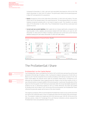Compared to December 31, 2016, cash and cash equivalents decreased by 40 % to EUR 758 million (December 31, 2016: EUR 1,271 million). This particularly reflects the dividend payment in May 2017 and payments for acquisitions.

- > Equity: Dropped by 25% to EUR 1,068 million (December 31, 2016: EUR 1,432 million). This was mainly due to the dividend paid in the reporting period. The decreasing effects of currency hedging recognized outside profit or loss had an impact as well. This resulted in an equity ratio of 17 % (December 31, 2016: 22 %). Thus, ProSiebenSat.1 Group still has a solid asset and capital structure.
- > Current and non-current liabilities: Debt capital did not change significantly compared to the reporting date in 2016. Liabilities and provisions totaled EUR 5,061 million as of June 30, 2017 (December 31, 2016: EUR 5,172 million), including in particular non-current and current financial liabilities totaling EUR 3,183 million (December 31, 2016: EUR 3,185 million).



## The ProSiebenSat.1 Share

ProSiebenSat.1 on the Capital Market

The ProSiebenSat.1 share concluded the first half of 2017 at EUR 36.64 and was thus at the level achieved on the last day of trading in 2016. It achieved its highest closing price of EUR 41.50 on March 31, 2017. The DAX closed the first six months of trading in 2017 with an increase of 7.4%. The EURO STOXX Media, the relevant sector index for European media stocks, increased by 4.7%. Although the ProSiebenSat.1 share outperformed the market in the first few months of 2017, it was characterized by increased volatility in the second quarter. In particular, the publication of the figures for the first quarter of 2017 led to price decreases after the Group had slightly adjusted its guidance for the TV advertising market for 2017 as a whole. Moreover, the share was quoted ex-dividend (EUR 1.90) on May 15, 2017. At the end of the second quarter, the ProSiebenSat.1 share reflected the generally weaker performance of the stock markets.

The majority of analysts (78%) recommended the ProSiebenSat.1 share as a buy at the end of the first half of 2017, while 18% were in favor of holding the share and 4% issued a sell recommendation. The analysts' median price target was EUR 44.40 (previous year: EUR 49). At the end of the half-year period, a total of 27 brokerage firms and financial institutions actively analyzed the ProSiebenSat.1 share and published research reports.



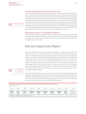

page 18.

### Annual General Meeting for the Financial Year 2016

The Annual General Meeting of ProSiebenSat.1 Media SE for the financial year 2016 took place on May 12, 2017. Around 900 participants attended the Annual General Meeting. Attendance was around 63% of share capital. The Annual General Meeting also granted discharge to the Executive Board and Supervisory Board for the financial year 2016. The shareholders agreed with these agenda items as well as with the other resolutions that were subject to approval by a large majority. Only the presented remuneration system for Executive Board members was not endorsed by a majority. The shareholders also approved the distribution of a dividend of EUR 1.90 per share for the financial year 2016. This equates to a total payout of around EUR 435 million and a payout ratio of 84.7% of Group adjusted net income. Based on the closing price for 2016, the dividend yield amounted to 5.2% (previous year: 3.8%). The dividend was paid out on May 17, 2017.

## Shareholder Structure of ProSiebenSat.1 Media SE

The shareholder structure is virtually unchanged in comparison to December 31, 2016. The shares are mostly held by institutional investors in the US, the UK and Germany. In total, 98.2% were held in free float as of June 30, 2017 (December 31, 2016: 98.2%). The remaining 1.8% are held by the Group (December 31, 2016: 1.8%).

## Risk and Opportunity Report

We estimate that there are currently no risks that, individually or in combination with other risks, could have a material or lasting adverse effect on the earnings, financial position and performance. The identified risks pose no threat to the Company as a going concern, even looking into the future. As of the date this Half-Yearly Financial Report was prepared, the Executive Board still considers the overall risk situation as limited and manageable for this reason. There were no fundamental changes in the overall risk situation. We still rate the majority of the issues presented in the latest Annual Report as a slight risk. However, in the second quarter of 2017, we have noted a slight increase of the risks in the categories "sales risks", "content risks" and "compliance risks" combined with a decline in the "external risks" category and now assess the overall risk for the Group as slightly increased. These changes (Fig. 30) in the second quarter of 2017 are described below and in the Notes.

Notes, Note 6 "Contingent liabilities and other financial obligations," page 37.

≅l≡

The opportunity situation has not changed. The risks and opportunities identified as significant are described in the Annual Report 2016 from page 148. The organizational requirements for risk and opportunity management are also explained here. The Annual Report was published on March 16, 2017, and is available at:<annual-report2016.prosiebensat1.com>. We also refer to the remarks on the predictive statements in this Half-Yearly Financial Report on page 25.

**Development of risk clusters and the overall risk situation of the Group as of June 30, 2017** (Fig. 30) Change Q2 2017 vs. 2016  $\overline{\mathcal{L}}$ л 5 LN.  $\rightarrow$ л  $\rightarrow$ л ↘ External Sales Content Technological Personnel Investment Financial Compliance **Other Overall** Risks Risks Risks Risks Risks Risks Risks Risks Risks risk situation

unchanged  $\sqrt{ }$  slightly increased  $\sqrt{ }$  slightly decreased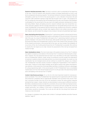Development of Economy and Advertising Market,

page 5.

**External risks/macroeconomic risks.** Germany's economic upturn accelerated at the beginning of the year. In the first quarter, gross domestic product increased significantly by 0.6% in real terms compared to the previous quarter. The German Institute for Economic Research (DIW) still anticipates a solid rise of 0.5% for the second quarter. In June, indicators of business (ifo) and consumer (GfK) sentiment reached a high that had not been seen in years. The prospects for 2017 as a whole are more positive than at the beginning of the year, even though a mild slowdown is anticipated for the second half of the year due to the slightly lackluster development of orders and rising inflation. Nearly all leading economic research institutes have now revised their economic forecasts upwards, with the average expectation for real growth being around 1.6%. As a result, ProSiebenSat.1 Group believes that the external risks resulting from economic conditions have slightly decreased, and we consider high negative effects to be unlikely (previously: possible). However, we still consider this category to be a medium risk due to its potentially high impact.

Sales risks/selling advertising time. Following the TV advertising market's restraint performance in the first half of the year, ProSiebenSat.1 expects a stimulation of this environment in the second half of the year. As a result, ProSiebenSat.1 still expects the TV advertising market to achieve net growth of between 1.5% and 2.5% for the full year, while growth at the lower end of this range is perceived more likely from ProSiebenSat.1's point of view. In the context of the necessary revival of the market environment in the second half of the year, we now consider the probability of occurrence of the risk of selling advertising times for ProSiebenSat.1 as possible. We continue to classify the risk impact as very high. Overall, the assessment of the risk has increased from medium to high.

Sales risks/audience shares. The risk of a decrease in the audience shares of our free TV stations has slightly increased, as new stations in the German free TV market are intensifying the competition. However, the risk assessment did not result in any new effects on the sale of advertising time on ProSiebenSat.1 stations. Under certain circumstances, we still consider the implications of a decline in audience shares to be high and their occurrence to be possible. As a result, our risk classification has not changed overall, and we continue to consider this category as a medium risk. ProSiebenSat.1 has been actively involved in shaping the fragmentation of the market for many years. Thanks to a multi-station strategy, we are able to acquire new viewers and advertising customers. At the same time, the broad station portfolio is resulting in efficiency advantages for using programming rights. In the second quarter of 2017, ProSiebenSat.1 had a consolidated market share of 27.1% in the relevant target group of 14- to 49-year-olds in the advertising market and is still leading in the German free TV market.

Content risks/license purchases. For us, the US is the most important market for licensed programs worldwide. This is why ProSiebenSat.1 has signed long-term agreements with film studios and production companies with an appropriate reputation and successful track record. However, successful formats from the US do not necessarily receive the same positive response among German viewers. Viewer interests can also develop in various ways in different countries. We follow a standard procedure to take this uncertainty into account when purchasing licenses. We have thus slightly increased the probability of occurrence and now consider this risk to be unlikely (previously: very unlikely). In this event, a moderate impact on the Group's earnings performance would be conceivable. This is why we still rate the risk arising from license purchases as a low risk overall.

For changes in compliance risks, please refer to Note 6 "Contingent liabilities and other financial liabilities," page 37.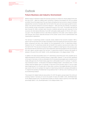Development of Economy and Advertising Market,

page 5.

## Outlook

## **Future Business and Industry Environment**

Market research institutions expect the German economy to continue its robust upward trend over the rest of 2017 — albeit at a slightly lower momentum. However, the prospects for 2017 as a whole are better than at the beginning of the year. Nearly all leading German economic research institutes adjusted their economic forecasts after the first half of the year and now expect growth to be between 1.5% (German Institute for Economic Research — DIW) and 1.8% (ifo Institute). According to the ifo Institute, private consumption is expected to grow by 1.2% in 2017. The growth rate that has been forecast for 2018 is similarly high. Economic conditions abroad have also improved. For the eurozone, the International Monetary Fund (IMF) anticipates stable growth of 1.9% for 2017 (previous year: 1.7%); the global economy is also likely to expand by 3.5% (2016: 3.2%). However, significant forecast risks remain, especially because of the unclear course of the US administration and ongoing Brexit negotiations.

The German TV advertising market is typically closely related to the economic situation. With a share in GDP of more than 50%, private consumption is the most significant macroeconomic expenditure component and also a key indicator for the development of the TV advertising market. However, the net TV advertising market did not benefit from positive macroeconomic data in the first half of 2017. This was due to temporary effects: In addition to high figures in the previous year, key industries like the automotive sector have shifted their advertising budgets to the second half of the year. Agency groups expect the German TV advertising market to achieve net growth of between 1.5% and 2.9% in 2017 (WARC: +2.9%, ZenithOptimedia: +2.1%, Magna Global: +1.5%).

In addition, the wide and bundled reach of TV advertising is becoming even more valuable due to digital development and the resulting change in usage habits. However, TV has not fully capitalized on its reach in Germany. In 2016, an estimated 34% of net advertising budgets were invested in print media, although only 6% of total media usage time is attributable to print. In contrast, TV advertising's investment volume — on the basis of net data from Magna Global — amounted to 23%. TV is the medium with the highest reach. On average, in 2016 46% of the Germans used a TV set on a daily basis (target group 14- to 29-years-old). In many other countries, the budget allocation is the other way round; in the US, for example, the majority of advertising investment is already attributable to TV. Against this backdrop, ProSiebenSat.1 Group believes that TV still has a lot of catching up to do as an advertising medium.

The prospects for digital media are also positive. For 2017, the agency groups expect the online advertising market in Germany to record net growth of nearly 8% (WARC: 6.8%, ZenithOptimedia: 10.4%, Magna Global: 8.5%). The advertising market as a whole is likely to grow by a low single-digit percentage (WARC: 2.2%, ZenithOptimedia: +2.5%, Magna Global: 2.1%).

≣≣

Company Outlook, page 25.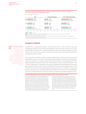#### **Forecasts for real gross domestic product, private consumption and net TV advertising market in countries important for ProSiebenSat.1** (Fig. 31)

in percent, change vs. previous year



**2017 2018** Source:

GER: ifo Economic Forecast 2017/2018 June 2017. AT: European Commission, European Economic Forecast Spring 2017. CH: Secretary of State for Economy (SECO), June 2017.

**1** ZenithOptimedia, Advertising Expenditure Forecasts March 2017, figures adjusted on a net basis, nonetheless methodological differences between different countries and sources.



We published the Company Outlook for 2017 at the Annual Press Conference on February 23, 2017, and in the Annual Report 2016 on March 16, 2017. The Company outlined its individual targets and planning assumptions in detail on pages 172 to 175 of the Annual Report 2016. Further information can be found on page 3 of this report, where the current forecasts for all relevant financial and non-financial performance indicators are

presented.

## **Company Outlook**

Following the TV advertising market's restraint performance in the first half of the year, ProSiebenSat.1 expects a more dynamic development in the second half of the year. As a result, ProSiebenSat.1 still expects the TV advertising market to achieve net growth of between 1.5% and 2.5% for the full year, while growth at the lower end of this range is perceived more likely from ProSiebenSat.1's point of view.

The Group further confirms its positive outlook: ProSiebenSat.1 continues to aim to increase its consolidated revenues by at least a high single-digit percentage for the full year. ProSiebenSat.1 expects all segments to contribute to this, while revenue growth in the Broadcasting Germanspeaking segment in the second half of 2017 should benefit from the increasing momentum in the TV advertising business. ProSiebenSat.1 also expects adjusted EBITDA and adjusted net income to again exceed the previous year's levels in 2017. Based on the Group's earnings performance in the first half of the year, the Group has adjusted its earnings outlook from a significant increase to a stable to slight decrease in the Digital Entertainment segment. At the same time, ProSiebenSat.1 Group also considers itself to be on track to achieve its medium-term financial targets for 2018.

### **Predictive Statements on Future Earnings, Financial Position and Performance** (Fig. 32)

Our forecasts are based on current assessments of future developments. In this context, we draw on our budget and comprehensive market and competitive analyses. However, forecasts naturally entail certain insecurities, which could lead to positive or negative deviations from planning. If imponderables occur or if the assumptions on which the forward-looking statements are made do not apply, actual results may deviate materially from the statements made or the results implicitly expressed. Developments that could negatively impact this forecast include, for example, lower

economic momentum than expected at the time the statement was prepared. These and other factors are explained in detail in the Risk and Opportunity Report of the Annual Report 2016 and in this Half-Yearly Financial Report. We also report on additional growth potential. Opportunities that we have not yet or not fully budgeted for could arise from corporate strategy decisions, for example. Significant events after the end of the period are explained in the Notes, Note 10. The publication date of the Half-Yearly Financial Report is August 3, 2017.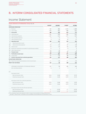## B. INTERIM CONSOLIDATED FINANCIAL STATEMENTS

## Income Statement

|            | Income Statement of ProSiebenSat.1 Group (Fig. 33)            |                |                      |                |                |
|------------|---------------------------------------------------------------|----------------|----------------------|----------------|----------------|
| EUR m      |                                                               | Q2 2017        | Q2 2016 <sup>1</sup> | H1 2017        | H1 2016        |
|            | <b>CONTINUING OPERATIONS</b>                                  |                |                      |                |                |
|            | 1. Revenues                                                   | 962            | 886                  | 1,872          | 1,688          |
|            | 2. Cost of sales                                              | $-476$         | $-461$               | $-998$         | $-916$         |
|            | 3. Gross profit                                               | 486            | 425                  | 874            | 772            |
|            | 4. Selling expenses                                           | $-147$         | $-109$               | $-289$         | $-222$         |
|            | 5. Administrative expenses                                    | $-137$         | $-113$               | $-277$         | $-229$         |
|            | 6. Other operating expenses                                   | $-3$           | $-5$                 | $-4$           | $-5$           |
|            | 7. Other operating income                                     | 4              | 12                   | 10             | 17             |
|            | 8. Operating result                                           | 205            | 211                  | 314            | 333            |
| 9.         | Interest and similar income                                   | $\mathbf{1}$   | $\overline{c}$       | $1\,$          | $\overline{c}$ |
| 10.        | Interest and similar expenses                                 | $-15$          | $-25$                | $-37$          | $-48$          |
|            | 11. Interest result                                           | $-14$          | $-23$                | $-36$          | $-46$          |
| 12.        | Result from investments accounted for using the equity method | $-2$           | $\mathbf{1}$         | $-4$           | $\mathbf{3}$   |
|            | 13. Other financial result                                    | $-11$          | 12                   | $\overline{c}$ | 9              |
|            | 14. Financial result                                          | -26            | $-10$                | $-37$          | -34            |
|            | 15. Profit before income taxes                                | 179            | 201                  | 276            | 299            |
|            | 16. Income taxes                                              | $-57$          | $-63$                | $-88$          | $-94$          |
| 17.        | Profit for the period from continuing operations              | 121            | 137                  | 188            | 205            |
|            | DISCONTINUED OPERATIONS                                       |                |                      |                |                |
|            | 18. Result from discontinued operations (net of income taxes) | $-/-$          | $-42$                | $-/-$          | $-42$          |
|            | PROFIT FOR THE PERIOD                                         | 121            | 95                   | 188            | 163            |
|            |                                                               |                |                      |                |                |
|            | Attributable to shareholders of ProSiebenSat.1 Media SE       | 117            | 94                   | 181            | 160            |
|            | Non-controlling interests                                     | $\overline{4}$ | $\mathbf{1}$         | $\overline{7}$ | $\overline{c}$ |
|            |                                                               |                |                      |                |                |
| <b>EUR</b> |                                                               |                |                      |                |                |
|            | Earnings per share                                            |                |                      |                |                |
|            | Basic earnings per share                                      | 0.51           | 0.44                 | 0.79           | 0.75           |
|            | Diluted earnings per share                                    | 0.51           | 0.42                 | 0.79           | 0.73           |
|            | Earnings per share from continuing operations                 |                |                      |                |                |
|            | Basic earnings per share                                      | 0.51           | 0.64                 | 0.79           | 0.95           |
|            | Diluted earnings per share                                    | 0.51           | 0.62                 | 0.79           | 0.93           |
|            | Earnings per share from discontinued operations               |                |                      |                |                |
|            | Basic earnings per share                                      | $-/-$          | $-0.20$              | $-/-$          | $-0.20$        |
|            | Diluted earnings per share                                    | -/-            | $-0.20$              | $-/-$          | $-0.20$        |
|            |                                                               |                |                      |                |                |

**1** The comperative figures were adjusted to reflect a change in the presentation of hedge ineffectiveness

(see Note 11 "Interest result" in the Notes to the Consolidated Financial Statements as of December 31, 2016).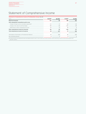# Statement of Comprehensive Income

| 02 2017 | Q2 2016                                                             | H1 2017 | H1 2016 |
|---------|---------------------------------------------------------------------|---------|---------|
| 121     | 95                                                                  | 188     | 163     |
|         |                                                                     |         |         |
| $-23$   | $-2$                                                                | -28     |         |
| -84     | 33                                                                  | $-122$  | -19     |
| 23      | - 9                                                                 | ٩Δ      |         |
|         | 22                                                                  | $-116$  |         |
| 38      | 117                                                                 | 72      | 136     |
| 34      | 116                                                                 | 66      |         |
|         |                                                                     |         |         |
|         | Statement of Comprehensive Income of ProSiebenSat.1 Group (Fig. 34) |         |         |

**1** Includes amounts associated with assets and liabilities held for sale of minus 4 EUR m for H1 2017 (H1 2016: 0 EUR m) and minus 4 EUR m for the second quarter 2017 (Q2 2016: 0 EUR m).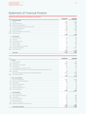## Statement of Financial Position

## **Statement of Financial Position of ProSiebenSat.1 Group** (Fig. 35)

| EUR m |                                                       | 06/30/2017 | 12/31/2016 |
|-------|-------------------------------------------------------|------------|------------|
|       | A. Non-current assets                                 |            |            |
|       | I. Goodwill                                           | 1,868      | 1,860      |
|       | II. Other intangible assets                           | 762        | 817        |
|       | III. Property, plant and equipment                    | 201        | 216        |
|       | IV. Investments accounted for using the equity method | 100        | 109        |
|       | V. Non-current financial assets                       | 209        | 331        |
|       | VI. Programming assets                                | 1,208      | 1,166      |
|       | VII. Other receivables and non-current assets         | 11         | 11         |
|       | VIII. Deferred tax assets                             | 26         | 30<br>     |
|       |                                                       | 4.386      | 4,540      |
|       | <b>B.</b> Current assets                              |            |            |
|       | I. Programming assets                                 | 162        | 146        |
|       | II. Inventories                                       | 37         | 29         |
|       | III. Current financial assets                         | 65         | 91         |
|       | IV. Trade receivables                                 | 413        | 446        |
|       | V. Current tax assets                                 | 27         | 23         |
|       | VI. Other receivables and current assets              | 74         | 57         |
|       | VII. Cash and cash equivalents                        | 758        | 1,271      |
|       | VIII. Assets held for sale                            | 207        | $-/-$      |
|       |                                                       | 1.743      | 2,064      |
|       | Total assets                                          | 6,128      | 6,603      |
|       |                                                       |            |            |

| EUR m |                                                                                                 | 06/30/2017 | 12/31/2016 |
|-------|-------------------------------------------------------------------------------------------------|------------|------------|
|       | A. Equity                                                                                       |            |            |
|       | I. Subscribed capital                                                                           | 233        | 233        |
|       | II. Capital reserves                                                                            | 1,055      | 1,054      |
|       | III. Consolidated equity generated                                                              | -211       | 42         |
|       | IV. Treasury shares                                                                             | - 14       | .<br>$-14$ |
|       | V. Accumulated other comprehensive income                                                       | 59         | 171        |
|       | VI. Accumulated other comprehensive income associated with assets and liabilities held for sale | - 4        | -/-        |
|       | VII. Other equity                                                                               | $-80$      | $-79$      |
|       | Total equity attributable to shareholders of ProSiebenSat.1 Media SE                            | 1,039      | 1,408      |
|       | VIII. Non-controlling interests                                                                 | 29         | 24         |
|       |                                                                                                 | 1,068      | 1,432      |
|       | B. Non-current liabilities                                                                      |            |            |
|       | I. Non-current financial debt                                                                   | 3,179      | 3,178      |
|       | II. Other non-current financial liabilities                                                     | 400        | 406        |
|       | III. Trade payables                                                                             | 34         | 70         |
|       | IV. Other non-current liabilities                                                               | 8          | 16         |
|       | V. Provisions for pensions                                                                      | 27         | 26         |
|       | VI. Other non-current provisions                                                                | 38         | 42         |
|       | VII. Deferred tax liabilities                                                                   | 278        | 335        |
|       |                                                                                                 | 3,965      | 4,073      |
|       | C. Current liabilities                                                                          |            |            |
|       | I. Current financial debt                                                                       | Δ          |            |
|       | II. Other current financial liabilities                                                         | 97         | 102        |
|       | III. Trade payables                                                                             | 543        | 527        |
|       | IV. Other current liabilities                                                                   | 234        | 303        |
|       | V. Provisions for taxes                                                                         | 65         | 76         |
|       | VI. Other current provisions                                                                    | 90         | 83         |
|       | VII. Liabilities associated with assets held for sale                                           | 64         | $-/-$      |
|       |                                                                                                 | 1,096      | 1,099      |
|       | Total equity and liabilities                                                                    | 6,128      | 6,603      |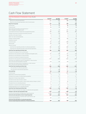## Cash Flow Statement

## **Cash Flow Statement of ProSiebenSat.1 Group** (Fig. 36)

| EUR m                                                                                                              | Q2 2017  | Q2 2016        | H1 2017      | H1 2016      |
|--------------------------------------------------------------------------------------------------------------------|----------|----------------|--------------|--------------|
| Result from continuing operations                                                                                  | 121      | 137            | 188          | 205          |
| Result from discontinued operations (net of income taxes)                                                          | $-/-$    | $-42$          | $-/-$        | $-42$        |
| Result for the period                                                                                              | 121      | 95             | 188          | 163          |
| Income taxes                                                                                                       | 57       | 63             | 88           | 94           |
| Financial result                                                                                                   | 26       | 10             | 37           | 34           |
| Depreciation/amortization and impairment of<br>other intangible and tangible assets                                | 53       | 47             | 107          | 86           |
| Consumption/reversal of impairment of programming assets                                                           | 190      | 212            | 452          | 447          |
| Change in provisions for pensions and other provisions                                                             | $-12$    | $-10$          | $-9$         | 4            |
| Gain/loss on the sale of assets                                                                                    | 5        | - 6            | 3            | $-5$         |
| Other non-cash income/expenses                                                                                     | 2        | - 6            | 3            | - 4          |
| Change in working capital                                                                                          | $-15$    | $-43$          | $-83$        | -26          |
| Dividends received                                                                                                 | $\Omega$ | $\mathbf{0}$   | 7            | 6            |
| Income tax paid                                                                                                    | $-56$    | $-60$          | -108         | -110         |
| Interest paid                                                                                                      | -26      | $-36$          | $-37$        | $-58$        |
| Interest received                                                                                                  | 1        | $\overline{c}$ | 1            | 2            |
| Cash flow from operating activities of continuing operations                                                       | 346      | 310            | 649          | 675          |
| Cash flow from operating activities of discontinued operations                                                     | $-/-$    | $-40$          | $-/-$        | $-42$        |
| Cash flow from operating activities total                                                                          | 346      | 270            | 649          | 633          |
| Proceeds from disposal of non-current assets                                                                       | 1        | $\mathbf{1}$   | $\mathbf{1}$ | $\mathbf{1}$ |
| Payments for the acquisition of other intangible and tangible assets                                               | $-37$    | $-39$          | - 67         | - 66         |
| Payments for the acquisition of financial assets                                                                   | $-7$     | - 6            | $-18$        | -17          |
| Proceeds from disposal of programming assets                                                                       | 4        | 2              | 12           | 4            |
| Payments for the acquisition of programming assets                                                                 | $-273$   | $-242$         | $-523$       | $-519$       |
| Cash flows from obtaining control of subsidiaries or other business<br>(net of cash and cash equivalents acquired) | $-54$    | $-19$          | $-90$        | $-74$        |
| Cash flows from losing control of subsidiaries or other business<br>(net of cash and cash equivalents disposed of) | $-/-$    | $-7$           | $-/-$        | $-7$         |
| Cash flow from investing activities total                                                                          | -366     | $-310$         | - 685        | - 677        |
| Free cash flow of continuing operations                                                                            | $-20$    | $\mathbf 0$    | $-37$        | $-2$         |
| Free cash flow of discontinued operations                                                                          | -/-      | $-40$          | -/-          | - 42         |
| Free cash flow                                                                                                     | -20      | - 40           | $-37$        | - 45         |
| Dividends paid                                                                                                     | $-435$   | $-/-$          | $-435$       | $-/-$        |
| Repayment of interest-bearing liabilities                                                                          | 0        | -1             | $-7$         | $-1$         |
| Proceeds from issuance of interest-bearing liabilities                                                             | 0        | -/-            | 5            | $-/-$        |
| Repayment of finance lease liabilities                                                                             | - 4      | $-4$           | -7           | $-7$         |
| Proceeds from the sale of treasury shares                                                                          | 0        | 1              | 1            | 6            |
| Proceeds from the sale of shares in other entities without change in control                                       | -2       |                | 52           |              |
| Proceeds from non-controlling interests                                                                            | $-/-$    | 1              | -/-          | 1            |
| Payments in connection with refinancing measures                                                                   | - 4      | $-/-$          | - 4          | $-/-$        |
| Dividend payments to non-controlling interests                                                                     | - 4      | - 6            | - 9          | $-13$        |
| Cash flow from financing activities total                                                                          | - 448    | -11            | - 404        | -16          |
| Effect of foreign exchange rate changes on cash and cash equivalents                                               | - 5      | 0              | - 6          | $-3$         |
| Change in cash and cash equivalents total                                                                          | - 472    | - 51           | - 448        | - 63         |
| Cash and cash equivalents at beginning of reporting period                                                         | 1,296    | 723            | 1,271        | 734          |
| Cash and cash equivalents at end of reporting period                                                               | 824      | 672            | 824          | 672          |
| Cash and cash equivalents classified under assets held for sale<br>at end of reporting period                      | 65       | $-/-$          | 65           | $-/-$        |
| Cash and cash equivalents of continuing operations<br>at end of reporting period (statement of financial position) | 758      | 672            | 758          | 672          |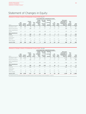## Statement of Changes in Equity

## **Statement of Changes in Equity of ProSiebenSat.1 Group H1 2016** (Fig. 37)

|                               |                            |                     |                                          |                         |                                                       |                                                    | Accumulated other comprehensive income           |                        |                 |                                                                                  |                                       |                 |
|-------------------------------|----------------------------|---------------------|------------------------------------------|-------------------------|-------------------------------------------------------|----------------------------------------------------|--------------------------------------------------|------------------------|-----------------|----------------------------------------------------------------------------------|---------------------------------------|-----------------|
| EUR m                         | Sub-<br>scribed<br>capital | Capital<br>reserves | Consoli-<br>dated<br>equity<br>generated | Trea-<br>sury<br>shares | Foreign<br>currency<br>translation<br>adjust-<br>ment | Fair value<br>changes<br>0f<br>cash flow<br>hedges | Valuation<br>οf<br>provisions<br>for<br>pensions | De-<br>ferred<br>taxes | Other<br>equity | Total equity<br>attributable to<br>shareholders of<br>ProSiebenSat.1<br>Media SE | Non-<br>con-<br>trolling<br>interests | Total<br>equity |
| December 31, 2015             | 219                        | 600                 | 26                                       | $-20$                   | 22                                                    | 185                                                | - 8                                              | $-50$                  | $-54$           | 922                                                                              | 21                                    | 943             |
| Result for the period         | $-/-$                      | $-1-$               | 160                                      | $-/-$                   | $-1-$                                                 | $-/-$                                              | $-/-$                                            | $-1-$                  | $-/-$           | 160                                                                              | 2                                     | 163             |
| Other comprehensive<br>income | $-/-$                      |                     |                                          |                         | $-13$                                                 | $-19$                                              | $-/-$                                            | 5                      | $-1-$           | $-27$                                                                            | U                                     | $-27$           |
| Total comprehensive<br>income | -7-                        | $-/-$               | 160                                      | $-1-$                   | $-13$                                                 | $-19$                                              | $-1-$                                            | 5                      | $-1-$           | 133                                                                              | 2                                     | 136             |
| Dividends                     |                            | $-1-$               | -386                                     | $-1-$                   |                                                       |                                                    |                                                  | ' —                    | $-1-$           | -386                                                                             | $-13$                                 | -399            |
| Share-based<br>payments       |                            | $-57$               |                                          | 6                       |                                                       |                                                    | 7 –                                              |                        |                 | - 51                                                                             |                                       | $-51$           |
| Other changes                 |                            | $-1-$               |                                          | $-/-$                   | Ξ,                                                    | - / -                                              | $-/-$                                            | $-1-$                  | $-9$            | $-9$                                                                             | q                                     |                 |
| June 30, 2016                 | 219                        | 543                 | -199                                     | $-14$                   | 9                                                     | 165                                                | -8                                               | - 44                   | - 63            | 608                                                                              | 20                                    | 628             |

## **Statement of Changes in Equity of ProSiebenSat.1 Group H1 2017** (Fig. 38)

|                                            |                            | Capital<br>reserves | Consoli-<br>dated<br>equity<br>generated |                         | Accumulated other comprehensive income                |                                                    |                                                  |                        |                 |                                                                                  |                                       |                 |
|--------------------------------------------|----------------------------|---------------------|------------------------------------------|-------------------------|-------------------------------------------------------|----------------------------------------------------|--------------------------------------------------|------------------------|-----------------|----------------------------------------------------------------------------------|---------------------------------------|-----------------|
| EUR m                                      | Sub-<br>scribed<br>capital |                     |                                          | Trea-<br>sury<br>shares | Foreign<br>currency<br>translation<br>adjust-<br>ment | Fair value<br>changes<br>0f<br>cash flow<br>hedges | Valuation<br>οf<br>provisions<br>for<br>pensions | De-<br>ferred<br>taxes | Other<br>equity | Total equity<br>attributable to<br>shareholders of<br>ProSiebenSat.1<br>Media SE | Non-<br>con-<br>trolling<br>interests | Total<br>equity |
| December 31, 2016                          | 233                        | 1,054               | 42                                       | $-14$                   | 18                                                    | 221                                                | - 9                                              | $-59$                  | $-79$           | 1,408                                                                            | 24                                    | 1,432           |
| Result for the period                      |                            |                     | 181                                      | - / -                   |                                                       |                                                    |                                                  |                        |                 | 181                                                                              |                                       | 188             |
| Other comprehensive<br>income <sup>1</sup> |                            |                     |                                          |                         | $-28$                                                 | $-122$                                             |                                                  | 34                     | - / -           | $-116$                                                                           | $\Omega$                              | $-116$          |
| Total comprehensive<br>income              | -7-                        | -7-                 | 181                                      | -/-                     | $-28$                                                 | $-122$                                             | -/-                                              | 34                     | -/-             | 66                                                                               | 6                                     | 72              |
| Dividends                                  |                            |                     | $-435$                                   | - / -                   |                                                       | $-1-$                                              |                                                  |                        |                 | $-435$                                                                           | $-9$                                  | - 444           |
| Share-based<br>payments                    |                            |                     |                                          |                         |                                                       |                                                    |                                                  |                        |                 |                                                                                  |                                       |                 |
| Other changes                              | $-/-$                      | $\Omega$            | 0                                        | $-/-$                   | $-1-$                                                 | - / -                                              | $-/-$                                            | $-/-$                  | - 1             |                                                                                  | 8                                     |                 |
| June 30, 2017                              | 233                        | 1,055               | -211                                     | $-14$                   | $-10$                                                 | 100                                                | - 9                                              | $-25$                  | -80             | 1,039                                                                            | 29                                    | 1,068           |
|                                            |                            |                     |                                          |                         |                                                       |                                                    |                                                  |                        |                 |                                                                                  |                                       |                 |

**1** Includes amounts associated with assets and liabilities held for sale from foreign currency translation (–4 EUR m).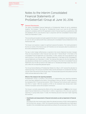## Notes to the Interim Consolidated Financial Statements of ProSiebenSat.1 Group at June 30, 2016



## General Disclosures

The Interim Consolidated Financial Statements of ProSiebenSat.1 Media SE and its subsidiaries (together "the Company", "the Group" or "ProSiebenSat.1 Group") as of June 30, 2017, have been prepared in compliance with the IFRS applicable to interim financial reporting, as published by IASB and adopted by the EU, and should be read in conjunction with the Consolidated Financial Statements as of December 31, 2016.

The accounting and valuation principles applied to the Interim Consolidated Financial Statements as of June 30, 2017, are identical with those underlying the Consolidated Financial Statements for the financial year 2016.

The Group's core business is subject to significant seasonal fluctuations. The results generated in the first six months of the financial year 2017 therefore do not necessarily allow for predictions on the further development of business.

The way in which hedge ineffectiveness is reported in the Income Statement has been changed. These are now presented in other financial result (see note 11 "Interest Result" in the Notes to the Consolidated Financial Statements as of December 31, 2016). Likewise, the Group adjusted its segment structure in July 2016 (see note 2 "Segment Reporting" in the Notes to the Consolidated Financial Statements as of December 31, 2016). The financial information for the first half-year 2016 was adjusted accordingly. Due to rounding, some of the figures in this Interim Consolidated Financial Statements may not add up exactly to the stated sum or indicated percentage values may not exactly reflect the corresponding absolute figures.

The Annual General Meeting of ProSiebenSat.1 Media SE on May 12, 2017 resolved the allocation to retained earnings in the amount of EUR 800 million and the distribution of a dividend for the financial year 2016 in the amount of EUR 1.90 per share. The total dividend payment amounted to EUR 435 million and was disbursed on May 17, 2017.

#### Effects of the change to the reporting standards

ProSiebenSat.1 Group is currently in the process of implementing new reporting standards, which have been adopted by the IASB (cf. Annual Report 2016, pp. 265-267). In detail, these are the standards IFRS 9 "Financial Instruments", IFRS 15 "Revenue from Contracts with Customers" and IFRS 16 "Leases". With the exception of IFRS 16, the standards have already been implemented in European Law by the European Commission.

The Group is currently analyzing the effects of the initial application of **IFRS 9** on the Consolidated Financial Statements as of December 31, 2018 or respectively on the intra-year quarterly reporting in a group-wide project. To date, the following decisions have been made regarding the transition:

## > Classification and measurement of financial instruments as well as impairment of financial assets

According to the most recent project status the relevant provisions of IFRS 9 will be applied for the first time from January 1, 2018. The Group will record any resulting effects as of said reporting date in the consolidated equity generated according to the actual project status. The corre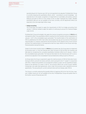sponding figures for financial year 2017 are not expected to be adjusted. ProSiebenSat.1 Group is currently analyzing the quantitative effects, which  $-$  according to current knowledge  $-$  are expected due to the earlier recognition of impairments on receivables and positive contract balances pursuant to IFRS 15 in the context of the so-called "expected loss model". Reliable quantitative data are not yet available at this time; currently, one-off adjustment effects are expected in the mid-single-digit million range.

#### > Hedge accounting

The Group does not expect to apply the requirements of IFRS 9 on hedge accounting from January 1, 2018 but instead to apply the option of continuing to account for financial hedges under IAS 39.

ProSiebenSat.1 Group will probably fully apply the revenue recognition provisions of IFRS 15 with retrospective effect. Any quantitative effects resulting from the transition will be recognized as of January 1, 2017 in the consolidated equity generated. The transformation of the clarifications of IFRS 15, published by the IASB in April 2016, into European law, has not occurred as of the present reporting date. It is, however, expected for the third quarter of 2017. Based on the current contract portfolio, the implementation is not expected to have any major effects on the Group's earnings, financial position and performance.

Subject to the timely transformation of IFRS 16 into European law, the Group plans to implement its provisions early, i.e. from the financial year 2018. Pursuant to IFRS 16.C5(b), the transition will take place by recognizing the cumulative quantitative transition effects as of January 1, 2018 in the consolidated equity generated. The financial information for the financial year 2017 is not expected to be adjusted in the Consolidated Financial Statements 2018 pursuant to IFRS 16.C7.

As things stand, the Group is expected to apply the relief provisions of IFRS 16.C3(b) when transitioning to IFRS 16, and will not review contracts, which pursuant to IAS 17 "Leases" in conjunction with IFRIC 4 "Determining whether an Arrangement contains a Lease" are not classified as leases, based on the definition of a lease in IFRS 16. This primarily affects the current Group's satellite, transponder and cable feed agreements, which under the provisions were classified as service agreements. The accounting for current contracts hence will not change under IFRS 16.

The Group is currently analyzing the possible effects of applying IFRS 16 for the first time. However, reliable results are not yet available at this time. ProSiebenSat.1 Group will publish them in the further course of financial year 2017.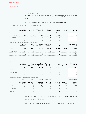#### Segment reporting **2**

Since July 1, 2016, the Group has been divided into four reporting segments: "Broadcasting Germanspeaking", "Digital Entertainment", "Digital Ventures & Commerce" and "Content Production & Global Sales".

The following table contains the segment information of ProSiebenSat.1 Group:

|                   | ent information of ProSiebenSat.1 Group Q2 2017/2016 (Fig. 39)                    |      |                      |                                     |                                           |      |                                                             |
|-------------------|-----------------------------------------------------------------------------------|------|----------------------|-------------------------------------|-------------------------------------------|------|-------------------------------------------------------------|
|                   | Segment<br>Broadcasting<br>Ger                                                    |      | Segment<br>entures & | Segment Content<br>Auction &<br>Pro | Total<br>nents<br>*********************** | Flim | Total consolidated<br>inancial<br>************************* |
| EUR m             | 02 2017                                                                           | 2017 | 02 2017              | 02 2017                             | Q2 2017                                   | 2017 | 2017                                                        |
| Revenues          | 56.                                                                               |      |                      |                                     |                                           |      |                                                             |
| External revenues | 529                                                                               | 08   |                      | 89                                  |                                           |      | 962                                                         |
| Internal revenues |                                                                                   |      |                      |                                     | 60                                        |      |                                                             |
| FRITDA            |                                                                                   |      |                      |                                     |                                           |      |                                                             |
| Adjusted EBITDA   |                                                                                   |      |                      |                                     |                                           |      | 270                                                         |
|                   | 1 This information is provided on a voluntary basis as part of segment reporting. |      |                      |                                     |                                           |      |                                                             |

|                   | Segment<br>Bro<br>dcasting<br>German                                              | ımen | Segment<br>Digital | Segment Content<br><b>Production &amp;</b> | Total<br>ıments                                 | Other.<br>- 111 | Total conso<br>later<br>financial |
|-------------------|-----------------------------------------------------------------------------------|------|--------------------|--------------------------------------------|-------------------------------------------------|-----------------|-----------------------------------|
| in Mio Euro       | 02 2016                                                                           | 2016 | 02 2016            | 02 2016                                    | 02 2016                                         | 2016            | <br>02 2016                       |
| Revenues          | 562                                                                               |      | 1.58               |                                            | りっと                                             |                 | 886                               |
| External revenues | 54                                                                                |      | 152                |                                            | <b>*****************************</b><br><br>880 |                 | 886                               |
| Internal revenues |                                                                                   |      |                    |                                            | 56                                              |                 |                                   |
| FRITDA            | 206                                                                               |      |                    |                                            | つらら                                             |                 | 258                               |
|                   |                                                                                   |      |                    |                                            | 25F                                             |                 | 254                               |
|                   | 1 This information is provided on a voluntary basis as part of segment reporting. |      |                    |                                            |                                                 |                 |                                   |

#### **Segmentinformationen der ProSiebenSat**.**1 Group H1 2017/2016** (Fig. 40)

|                   | Broadcasting<br>German-spea | rai<br>tainment<br>Ente | Segment<br>Digital Ventures & | Segment Content<br><b>Production &amp;</b> | Total<br>aments<br>--------------------- | Other.<br>Flin      | <b>Total consolidated</b><br>financial |
|-------------------|-----------------------------|-------------------------|-------------------------------|--------------------------------------------|------------------------------------------|---------------------|----------------------------------------|
| EUR m             | H <sub>1</sub> 2017         | H <sub>1</sub> 2017     | H <sub>1</sub> 2017           | H <sub>1</sub> 2017                        | H <sub>1</sub> 2017                      | H <sub>1</sub> 2017 | H1 2017                                |
| Revenues          | 02                          |                         | 150                           | 20                                         | .985                                     |                     |                                        |
| External revenues | 031                         | 205                     |                               | 168                                        | 1,860                                    |                     | .872                                   |
| Internal revenues |                             |                         |                               |                                            |                                          |                     |                                        |
| <b>FRITDA</b>     |                             |                         |                               |                                            |                                          |                     |                                        |
|                   |                             |                         |                               |                                            |                                          |                     | 458                                    |

**1** This information is provided on a voluntary basis as part of segment reporting.

|                   | Segment<br>Broadcasting<br>German-spea<br>unc                                    | ameni   | Segment<br><b>Ventures &amp;</b><br>Digital<br>merce | Segment Content<br><b>Production &amp;</b><br>hal Sales | Total<br>eaments    | Other.              | <b>Total consolidated</b><br>financial |
|-------------------|----------------------------------------------------------------------------------|---------|------------------------------------------------------|---------------------------------------------------------|---------------------|---------------------|----------------------------------------|
| in Mio Euro       | H1 2016                                                                          | H1 2016 | H1 2016                                              | H <sub>1</sub> 2016                                     | H <sub>1</sub> 2016 | H <sub>1</sub> 2016 | H1 2016                                |
| Revenues          | በ79                                                                              | 215     |                                                      |                                                         | L.780               |                     | .688                                   |
| External revenues | 1.034                                                                            | 205     | 302                                                  | l 41                                                    | 1.681               |                     | . . 688                                |
| Internal revenues |                                                                                  |         |                                                      |                                                         | 99                  | - 99                |                                        |
| <b>FRITDA</b>     | 33.                                                                              |         | 60                                                   |                                                         |                     | -                   | 420                                    |
|                   |                                                                                  |         | hh                                                   |                                                         |                     | $ \prime$           | 424                                    |
|                   | . This information is provided on a voluntary hasis as nart of segment reporting |         |                                                      |                                                         |                     |                     |                                        |

**1** This information is provided on a voluntary basis as part of segment reporting.

The Executive Board, as the chief operating decision-maker, measures the success of the segments by means of a segment profit figure referred to as "adjusted EBITDA" in internal management and reporting since January 1, 2017.

The reconciliation between the segment values and the consolidated values is shown below: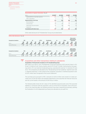transactions relating to subsidiaries

| Reconciliation of segment information (Fig. 41) |         |         |         |                     |
|-------------------------------------------------|---------|---------|---------|---------------------|
| FUR <sub>m</sub>                                | 02 2017 | Q2 2016 | H1 2017 | H <sub>1</sub> 2016 |
| Adjusted EBITDA of reportable segments          |         | 256     |         |                     |
| Other / Eliminations                            |         |         |         |                     |
| Adjusted EBITDA of the Group                    |         |         |         |                     |
| Reconciling Items                               |         |         |         |                     |
| Financial result                                | $-26$   | $-10$   |         |                     |
| Depreciation and amortization                   |         |         |         |                     |
| Impairment                                      |         |         |         |                     |
| Consolidated profit before taxes                |         |         |         |                     |
|                                                 |         |         |         |                     |

Entity-wide disclosures for ProSiebenSat.1 Group are provided below:

| Entity-wide disclosures (Fig. 42) |            |                        |            |            |            |            |             |            |            |                        |            |            |                                                 |            |
|-----------------------------------|------------|------------------------|------------|------------|------------|------------|-------------|------------|------------|------------------------|------------|------------|-------------------------------------------------|------------|
| Geographical breakdown            |            |                        |            |            | AT/CH      |            | Scandinavia |            |            |                        | Other      |            | Total consoli-<br>dated financial<br>statements |            |
| EUR m                             | 02<br>2017 | 02<br>2016             | 02<br>2017 | 02<br>2016 | 02<br>2017 | 02<br>2016 | 02<br>2017  | 02<br>2016 | 02<br>2017 | 02<br>2016             | Q2<br>2017 | 02<br>2016 | 02<br>2017                                      | 02<br>2016 |
| <b>External Revenues</b>          | 728        | 683                    | 99         | 79         | 78         | 71         | 43          | 42         | 10         | 9                      |            |            | 962                                             | 886        |
| Geographical breakdown            | <b>GER</b> |                        |            |            | AT/CH      |            | Scandinavia |            | UK         |                        | Other      |            | Total consoli-<br>dated financial<br>statements |            |
| EUR m                             | H1<br>2017 | H <sub>1</sub><br>2016 | H1<br>2017 | H1<br>2016 | H1<br>2017 | H1<br>2016 | H1<br>2017  | H1<br>2016 | H1<br>2017 | H <sub>1</sub><br>2016 | H1<br>2017 | H1<br>2016 | H1<br>2017                                      | H1<br>2016 |
| <b>External Revenues</b>          | 1,445      | 1,314                  | 181        | 146        | 137        | 127        | 89          | 82         | 13         | 15                     |            |            | 1.872                                           | .688       |



## Acquisitions and other transactions relating to subsidiaries

### Acquisition of 100 percent of shares in ATV broadcasting group

With effect as of April 6, 2017, ProSiebenSat.1 Group has acquired a 100.0 percent share in ATV Privat TV GmbH & Co KG, Vienna, Austria, and of ATV Privat TV GmbH, Vienna Austria, thus gaining control. ATV is an Austrian broadcasting group, operating the Austrian TV channels ATV and ATV2. The Companies are allocated to the "Broadcasting German-speaking" segment (see note 2 "Segment reporting"). In the context of the companies' acquisition, incidental acquisition costs of EUR 1 million were recognized in the Income Statement.

The purchase price pursuant to IFRS 3 amounts to EUR 24 million and consists of a base purchase price of EUR 28 million and standard adjustment to the assumed net financial resources and net current assets in the amount of EUR minus 4 million.

The following table shows the fair values of the identified acquired assets and of the assumed liabilities in connection with the acquisition, each as of the time of acquisition. Due to the proximity to the reporting date, the following amounts have been measured provisionally, pending the finalization of a full independent purchase price allocation by an audit firm.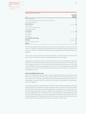transactions relating to subsidiaries

#### **Akquisition ATV Group** (Fig. 43)

|                                                                           | Fair value at<br>the time of |
|---------------------------------------------------------------------------|------------------------------|
| EUR <sub>m</sub>                                                          | acquisition                  |
| Other intangible assets                                                   | 12                           |
| thereof assets identified in the context of the purchase price allocation | 12                           |
| Property, plant and equipment                                             |                              |
| Non-current assets                                                        | 13                           |
| Trade receivables                                                         | 3                            |
| Other current receivables and assets                                      | 6                            |
| Cash and cash equivalents                                                 |                              |
| <b>Current assets</b>                                                     | 10                           |
| Trade payables                                                            | 7                            |
| Other provisions                                                          | 1 <sub>0</sub>               |
| Other liabilities                                                         | 4                            |
| Current liabilities and provisions                                        | 21                           |
| Net assets                                                                | 2                            |
| Purchase price pursuant to IFRS 3                                         | 24                           |
| Goodwill                                                                  | 22                           |

The identified goodwill is tax-deductible over 15 years and is recognized in Euro as the functional currency. It represents special synergy potentials from the expansion of business activities on the Austrian TV market. It is therefore allocated to the cash-generating unit "Broadcasting Germanspeaking".

In the context of the provisional purchase price allocation, a trademark with an indefinite useful life and a fair value of EUR 12 million was recognized separately from goodwill.

Including the Companies from the start of the financial year until initial consolidation in April 2017, would have had the following effect on the earnings, financial & asset position of ProSiebenSat.1 Group: Additional revenues of EUR 7 million and earnings after taxes in the amount of minus EUR 13 million. Between the initial consolidation and June 30, 2017, the Companies have contributed revenues of EUR 7 million and earnings after taxes in the amount of minus EUR 2 million to the consolidated net profit.

#### Assets and liabilities held for sale

Non-current assets held for sale (or groups of assets or debt held for sale) are assets, which can be sold in their current state, and where a sale is highly probable. They are valued at the lower of carrying amount or fair value less costs of disposal, unless the measurement provisions of IFRS 5 are not applicable. In line with IFRS 5.40, the previous year's figures in the statement of financial position are not adjusted.

In accordance with IFRS 5, assets amounting to EUR 207 million and associated liabilities of EUR 64 milllion, belonging to the subsidiary eTRAVELi Holding AB (which was sold as of the reporting date), and the minority investments were presented separately in the statement of financial position. The sale of the online travel agency etraveli is related to the strategic review of the online travel business of ProSiebenSat.1 Group. The disposal of the minority investments, predominantly accounted for at fair value through profit or loss in accordance with IAS 39 stands in the context of the active portfolio management of ProSiebenSat.1 Group. In this context, remeasurement effects were recognized for the minority investments held for sale in the amount of EUR 6 million.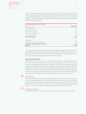| <b>INTERIM CONSOLIDATED</b> |
|-----------------------------|
| <b>FINANCIAL STATEMENTS</b> |
| <b>Notes</b>                |
| 4 Income taxes              |
| <b>5</b> Earnings per share |

The sale of etraveli is expected to close in the third quarter of 2017. The finalizing of the sale of the minority investments was on July 5, 2017 (see note 10 "Events after the closing date"). All assets held for sale have been allocated to the segment Digital Ventures & Commerce (see note 2 "Segment reporting"). As of the reporting date, the assets held for sale/the associated liabilities are distributed among the following main items:

| Assets and liabilities held for sale (Fig. 44)         |               |
|--------------------------------------------------------|---------------|
| EUR m                                                  | June 30, 2017 |
| Other intangible assets                                |               |
| Property, plant and equipment                          |               |
| Non-current financial assets                           |               |
| Other assets, incl. deferred taxes                     |               |
| Cash and cash equivalents                              | 65            |
| Total assets held for sale                             | 207           |
| Trade payables                                         |               |
| Other assets and provisions, incl. deferred taxes      | 48            |
| Total liabilities associated with assets held for sale | 64            |
| Net assets                                             | 43            |

This presentation of the net assets does not include the goodwill of the Digital Ventures & Commerce segment allocated to the operation etraveli in accordance with IAS 36.86, as this will only be determinable at the closing date of the transaction, based on the relative values at that point in time. The value expected amounts to a low three-digit million Euro figure.

#### Capital increase at Studio71

With economic effect as of January 11, 2017, the media groups TF1 SA, Boulogne-Billancourt, France (TF1) and Reti Televisive Italiane S.p.A., Milan, Italy (Mediaset) each took out a minority interest in ProSiebenSat.1 Digital Content LP (Studio71) in the context of a capital increase. With economic effect as of February 17, 2017, TF1 increased its minority interest in Studio71 via another capital increase. Following said capital increases, 69 percent of the shares in Studio71 remain with ProSiebenSat.1 Group. Put options have been stipulated with both TF1 and Mediaset regarding the buyback of said shares. Since ProSiebenSat.1 Group is under the unconditional obligation to satisfy such put options when exercised, the consolidation ratio remains at 100.0 percent.



### Income taxes

The Group's relevant nominal tax rate remains unchanged at 28.0 percent. The effective Group tax rate of 32.0 percent anticipated for the entire financial year (previous year: 31.5%) was used as the basis for determining the Group's tax expenditures for the first six months of 2017. The resulting difference to the nominal tax rate is primarily due to the fact that taxes for previous assessment periods, as well as on non-deductible operating expenses, have been taken into account.



### Earnings per share

The following tables set out the underlying parameters when calculating the result per share: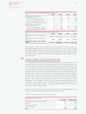**6** Contingent liabilities and other financial obligations

**6**

| Profit measures included in calculating earnings per share (Fig. 45)            |         |         |         |                     |
|---------------------------------------------------------------------------------|---------|---------|---------|---------------------|
| EUR m                                                                           | 02 2017 | 02 2016 | H1 2017 | H <sub>1</sub> 2016 |
| Result attributable to the shareholders of<br>ProSiebenSat.1 Media SE (basic)   |         |         | 181     |                     |
| Thereof from continuing operations (basic)                                      |         | 136     | 181     |                     |
| Thereof from discontinued operations (basic)                                    |         |         |         |                     |
| Valuation effects of share-based payments after taxes                           |         |         |         |                     |
| Result attributable to the shareholders of<br>ProSiebenSat.1 Media SE (diluted) | 116     |         | 181     | 157                 |
| Thereof from continuing operations (diluted)                                    | 116     | 133     |         |                     |
| Thereof from discontinued operations (diluted)                                  |         |         |         |                     |
|                                                                                 |         |         |         |                     |

| Numbers of shares included in calculating earnings per share (Fig. 46) |         |                                                         |                     |                     |
|------------------------------------------------------------------------|---------|---------------------------------------------------------|---------------------|---------------------|
| Shares                                                                 | 02 2017 | 02 2016                                                 | H <sub>1</sub> 2017 | H <sub>1</sub> 2016 |
| Weighted average number of shares outstanding<br>(basic)               |         | 228.834.430 214.530.284 228.824.430 214.418.143         |                     |                     |
| Dilution effect based on stock options and rights<br>to shares         | 530,800 | 559,392                                                 | 65,221              | 559,392             |
| Weighted average number of shares outstanding<br>(diluted)             |         | 229, 365, 230 215, 089, 676 228, 889, 651 214, 977, 535 |                     |                     |

The Group Share Plans (refer to Note 8 "Share-based payment") contain an option for ProSiebenSat.1 Media SE to perform settlement either in shares or cash. For purposes of calculating earnings per share, the plans are treated as if they were settled in shares, in line with IAS 33.58 but contrary to IFRS 2, due to the dilutive effect in the second quarter of 2016, the second quarter of 2017 and the first six months of the financial year 2016. There were no dilutive effects in the first six months of 2017.

## Contingent liabilities and other financial obligations

### Tax risks regarding the assessment of the programming assets:

In June 2017, the German tax authorities have, in the context of the tax audit for the years 2004 to 2012, which has been ongoing since 2010 and 2013 respectively, called into question the accuracy of ProSiebenSat.1 Group's accounting for programming assets for tax purposes for the first time. This relates in particular to the presentation of programming assets as current assets and the determination of consumption. Technical discussions with the fiscal administration are still under way. In particular, the fiscal administration has not yet issued any written statement as to how specifically it believes the accounting of the programming assets should be changed. It therefore remains unclear if and to what extent the accounting would have to be changed in principle and in terms of the valuation method. ProSiebenSat.1 Group considers its accounting practice — which previously had indeed been accepted by the tax authorities — lawful. ProSiebenSat.1 Group therefore reserves the right to appeal any potential tax assessments. Nonetheless, for said reasons it cannot be ruled out that due to the tax audit additional tax payments may have a major impact on our earnings performance. No provisions have been made for this risk as of the closing date.

As of June 30, 2017, there have been no other major changes to the contingent liabilities recognized in the Consolidated Financial Statements as of December 31, 2016.

The other financial obligations are comprised as follows:

| Other financial obligations (Fig. 47)          |               |                   |
|------------------------------------------------|---------------|-------------------|
| FUR <sub>m</sub>                               | June 30, 2017 | December 31, 2016 |
| Procurement commitments for programming assets | 3.022         |                   |
| Distribution                                   | 215           |                   |
| Leasing and rental obligations                 |               |                   |
| Other financial liabilities                    |               |                   |
|                                                |               |                   |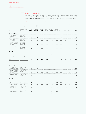#### Financial instruments **7**

The following table shows the carrying amounts and the fair values of all categories of financial assets and financial liabilities of ProSiebenSat.1 Group and allocates the financial assets and financial liabilities, which have been valued at their fair value, to the fair value hierarchy levels.

### **Carrying amounts and fair values of financial instruments as of June 30, 2017** (Fig. 48)

|                                                                    |                                                                     |                         |                                                   |                             | Category                         |                        |                                   | <b>Fair Value</b> |       |                 |              |
|--------------------------------------------------------------------|---------------------------------------------------------------------|-------------------------|---------------------------------------------------|-----------------------------|----------------------------------|------------------------|-----------------------------------|-------------------|-------|-----------------|--------------|
| EUR m                                                              | Presented in<br>the Statement of<br><b>Financial Position</b><br>as | Carry-<br>ing<br>amount | At fair<br>value<br>through<br>profit<br>and loss | Hedging<br>instru-<br>ments | Loans<br>and<br>receiv-<br>ables | Available-<br>for-sale | Other<br>financial<br>liabilities | Level 1           |       | Level 2 Level 3 | <b>Total</b> |
| <b>Financial assets</b>                                            |                                                                     |                         |                                                   |                             |                                  |                        |                                   |                   |       |                 |              |
| Measured at fair value                                             |                                                                     |                         |                                                   |                             |                                  |                        |                                   |                   |       |                 |              |
| Financial assets<br>designated at fair<br>value                    | Non-current<br>financial assets                                     | 22                      | 22                                                | $-/-$                       | $-/-$                            | $-/-$                  | $-/-$                             | 22                | $-/-$ | $-/-$           | 22           |
| Other equity<br>instruments                                        | Non-current<br>financial assets                                     | 78                      | 78                                                | $-/-$                       | $-/-$                            | $-/-$                  | $-/-$                             | $-/-$             | -/-   | 78              | 78           |
| Derivatives for which<br>hedge accounting is<br>not applied        | Current and<br>non-current<br>financial assets                      | 8                       | 8                                                 | $-/-$                       | $-/-$                            | $-/-$                  | $-/-$                             | $-/-$             | $1\,$ | $\overline{7}$  | 8            |
| Hedge derivatives                                                  | Current and<br>non-current<br>financial assets                      | 127                     | $-/-$                                             | 127                         | $-/-$                            | $-/-$                  | $-/-$                             | $-/-$             | 127   | $-/-$           | 127          |
| Not measured at<br>fair value                                      |                                                                     |                         |                                                   |                             |                                  |                        |                                   |                   |       |                 |              |
| Cash and cash<br>equivalents <sup>1</sup>                          | Cash and<br>cash equivalents                                        | 758                     | $-/-$                                             | $-/-$                       | 758                              | $-/-$                  | $-/-$                             |                   |       |                 |              |
| Loans and<br>receivables <sup>1</sup>                              | Current and<br>non-current<br>financial assets                      | 452                     | $-/-$                                             | $-/-$                       | 452                              | $-/-$                  | $-/-$                             |                   |       |                 |              |
| Total                                                              |                                                                     | 1,445                   | 108                                               | 127                         | 1,210                            | -/-                    | -/-                               | 22                | 128   | 85              | 235          |
| Financial<br>liabilities                                           |                                                                     |                         |                                                   |                             |                                  |                        |                                   |                   |       |                 |              |
| Measured at fair value                                             |                                                                     |                         |                                                   |                             |                                  |                        |                                   |                   |       |                 |              |
| Liabilities from put<br>options and earn-outs                      | Other financial<br>liabilities                                      | 354                     | 354                                               | $-/-$                       | $-/-$                            | $-/-$                  | $-/-$                             | $-/-$             | $-/-$ | 354             | 354          |
| Derivatives for which<br>hedge accounting is<br>not applied        | Other financial<br>liabilities                                      | 34                      | 34                                                | $-/-$                       | $-/-$                            | $-/-$                  | $-/-$                             | $-/-$             | 34    | $-/-$           | 34           |
| Hedge derivatives                                                  | Other financial<br>liabilities                                      | 11                      | $-/-$                                             | 11                          | $-/-$                            | $-/-$                  | $-/-$                             | $-/-$             | 11    | $-/-$           | 11           |
| Not measured at<br>fair value                                      |                                                                     |                         |                                                   |                             |                                  |                        |                                   |                   |       |                 |              |
| Loans and<br>borrowings                                            | Financial Debt                                                      | 2,089                   | $-/-$                                             | $-/-$                       | $-/-$                            | $-/-$                  | 2,089                             | $-/-$             | 2,088 | $-/-$           | 2,088        |
| Notes                                                              | Financial Debt                                                      | 596                     | $-/-$                                             | $-/-$                       | $-/-$                            | $-/-$                  | 596                               | 633               | $-/-$ | $-/-$           | 633          |
| Promissory notes                                                   | Financial Debt                                                      | 498                     | $-/-$                                             | $-$ / $-$                   | $-/-$                            | $-/-$                  | 498                               | $-/-$             | 495   | $-/-$           | 495          |
| Liabilities from<br>finance leases                                 | Other financial<br>liabilities                                      | 65                      | $-/-$                                             | $-/-$                       | $-/-$                            | $-/-$                  | 65                                | $-/-$             | 69    | $-/-$           | 69           |
| Other Financial<br>liabilities at<br>(amortised) cost <sup>1</sup> | Other financial<br>liabilities and trade<br>payables                | 610                     | $-/-$                                             | $-/-$                       | $-/-$                            | $-/-$                  | 610                               |                   |       |                 |              |
| Total                                                              |                                                                     | 4,257                   | 388                                               | 11                          | -/-                              | -/-                    | 3,858                             | 633               | 2,697 | 354             | 3,683        |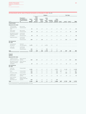## **Carrying amounts and fair values of financial instruments as of December 31, 2016** (Fig. 49)

|                                                                    |                                                                     |                         |                                                   |                             | Category                         |                        |                                   | <b>Fair Value</b> |       |                 |              |  |
|--------------------------------------------------------------------|---------------------------------------------------------------------|-------------------------|---------------------------------------------------|-----------------------------|----------------------------------|------------------------|-----------------------------------|-------------------|-------|-----------------|--------------|--|
| EUR m                                                              | Presented in<br>the Statement of<br><b>Financial Position</b><br>as | Carry-<br>ing<br>amount | At fair<br>value<br>through<br>profit<br>and loss | Hedging<br>instru-<br>ments | Loans<br>and<br>receiv-<br>ables | Available-<br>for-sale | Other<br>financial<br>liabilities | Level 1           |       | Level 2 Level 3 | <b>Total</b> |  |
| <b>Financial assets</b>                                            |                                                                     |                         |                                                   |                             |                                  |                        |                                   |                   |       |                 |              |  |
| Measured at fair value                                             |                                                                     |                         |                                                   |                             |                                  |                        |                                   |                   |       |                 |              |  |
| Financial assets<br>designated at fair<br>value                    | Non-current<br>financial assets                                     | 21                      | 21                                                | $-/-$                       | $-/-$                            | $-/-$                  | $-/-$                             | 21                | -/-   | $-/-$           | 21           |  |
| Other equity<br>instruments                                        | Non-current<br>financial assets                                     | 99                      | 99                                                | $-/-$                       | $-/-$                            | $-/-$                  | $-/-$                             | $-/-$             | $-/-$ | 99              | 99           |  |
| Derivatives for which<br>hedge accounting is<br>not applied        | Current and<br>non-current<br>financial assets                      | 18                      | 18                                                | $-/-$                       | $-/-$                            | $-/-$                  | $-/-$                             | $-/-$             | 11    | $\overline{7}$  | 18           |  |
| Hedge derivatives                                                  | Current and<br>non-current<br>financial assets                      | 246                     | $-/-$                                             | 246                         | $-/-$                            | $-/-$                  | $-/-$                             | $-/-$             | 246   | $-/-$           | 246          |  |
| Not measured at<br>fair value                                      |                                                                     |                         |                                                   |                             |                                  |                        |                                   |                   |       |                 |              |  |
| Cash and cash<br>equivalents <sup>1</sup>                          | Cash and<br>cash equivalents                                        | 1,271                   | $-/-$                                             | $-/-$                       | 1,271                            | $-/-$                  | $-/-$                             |                   |       |                 |              |  |
| Loans and<br>receivables <sup>1</sup>                              | Current and<br>non-current<br>financial assets                      | 484                     | $-/-$                                             | $-/-$                       | 484                              | $-/-$                  | $-/-$                             |                   |       |                 |              |  |
| Total                                                              |                                                                     | 2,140                   | 138                                               | 246                         | 1,755                            | -/-                    | -/-                               | 21                | 257   | 106             | 384          |  |
| Financial<br>liabilities                                           |                                                                     |                         |                                                   |                             |                                  |                        |                                   |                   |       |                 |              |  |
| Measured at fair value                                             |                                                                     |                         |                                                   |                             |                                  |                        |                                   |                   |       |                 |              |  |
| Liabilities from put<br>options and earn-outs                      | Other financial<br>liabilities                                      | 363                     | 363                                               | $-/-$                       | $-/-$                            | $-/-$                  | $-/-$                             | $-/-$             | $-/-$ | 363             | 363          |  |
| Derivatives for which<br>hedge accounting is<br>not applied        | Other financial<br>liabilities                                      | 32                      | 32                                                | $-/-$                       | $-/-$                            | $-/-$                  | $-/-$                             | $-/-$             | 32    | $-/-$           | 32           |  |
| Not measured at<br>fair value                                      |                                                                     |                         |                                                   |                             |                                  |                        |                                   |                   |       |                 |              |  |
| Loans and<br>borrowings                                            | Financial Debt                                                      | 2,091                   | $-/-$                                             | $-/-$                       | $-/-$                            | $-/-$                  | 2,091                             | $-/-$             | 2,118 | $-/-$           | 2,118        |  |
| Notes                                                              | Financial Debt                                                      | 596                     | $-/-$                                             | $-/-$                       | $-/-$                            | $-/-$                  | 596                               | 637               | $-/-$ | $-/-$           | 637          |  |
| Promissory notes                                                   | Financial Debt                                                      | 498                     | $-/-$                                             | $-/-$                       | $-/-$                            | $-/-$                  | 498                               | $-/-$             | 488   | $-/-$           | 488          |  |
| Liabilities from<br>finance leases                                 | Other financial<br>liabilities                                      | 72                      | $-/-$                                             | $-/-$                       | $-/-$                            | $-/-$                  | 72                                | $-/-$             | 77    | $-/-$           | 77           |  |
| Other Financial<br>liabilities at<br>(amortised) cost <sup>1</sup> | Other financial<br>liabilities and trade<br>payables                | 640                     | $-/-$                                             | $-/-$                       | $-/-$                            | $-/-$                  | 640                               |                   |       |                 |              |  |
| Total                                                              |                                                                     | 4,291                   | 395                                               | -/-                         | $-/-$                            | -/-                    | 3,896                             | 637               | 2,715 | 363             | 3,715        |  |
| 1 The carrying amount is                                           | appropriate approximator for fair value.                            |                         |                                                   |                             |                                  |                        |                                   |                   |       |                 |              |  |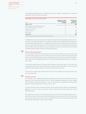The following table shows the reconciliation of the items regularly measured at fair value and assigned to Level 3 as of the closing date:

| Reconciliation of level 3 fair values (Fig. 50)                                                            |                                                              |                                                  |
|------------------------------------------------------------------------------------------------------------|--------------------------------------------------------------|--------------------------------------------------|
| FUR <sub>m</sub>                                                                                           | Derivatives, for which<br>hedge accounting is<br>not applied | Liabilities from<br>put options<br>and earn-outs |
| January 1, 2017                                                                                            |                                                              | 363                                              |
| Results included in income statement as well as in<br>other comprehensive income (unrealized) <sup>1</sup> |                                                              |                                                  |
| Additions from acquisitions                                                                                |                                                              |                                                  |
| Disposals/Payments                                                                                         |                                                              |                                                  |
| Other changes                                                                                              |                                                              | 56                                               |
| June 30, 2017                                                                                              |                                                              | 154                                              |
| 1 This item includes compounding effects and further valuation adjustments.                                |                                                              |                                                  |

ProSiebenSat.1 Group pursues an active financial management and exploited the attractive environment on the financial markets. For example in April 2017, the Group extended the maturity of the syndicated credit agreement — consisting of a term loan of EUR 2.1 billion and a revolving credit facility — by two years until April 2022. In this context, the revolving credit facility was increased by EUR 150 million to EUR 750 million, but was not utilized in the first six months of 2017. The financial covenants ceased to apply under the refinancing measures.

## **8**

## Share-based payments

The Group Share Plan 2013, which expired at the end of the financial year 2016, was fully paid out in the second quarter of 2017 in the amount of EUR 13.6 million. Beyond that, the plan conditions for the Group Share Plans remain unchanged and continue to be in line with the information shown in the Consolidated Notes and in the summarized Management Report as of December 31, 2016.

Of the performance share units issued under the other Group Share Plans, 7,047 units of the Group Share Plan 2014, 11,636 units of the Group Share Plan 2015 and 19,696 units of the Group Share Plan 2016 expired in the first six months of the financial year 2017.

In the first six months of the financial year 2017, 31,030 share options from the LTIP 2010 (cycle 2011) were exercised.

## **9**

## Related parties

As of January 1, 2017, Sabine Eckhardt was appointed to the ProSiebenSat.1 Media SE Executive Board as Chief Commercial Officer (CCO). Dr. Gunnar Wiedenfels resigned at his own request from the Executive Board as of March 31, 2017. Dr. Jan Kemper was appointed to the Executive Board as Chief Financial Officer (CFO) as of June 1, 2017.

Dr. Ralf Schremper (Chief Investment Officer) will leave the Executive Board of ProSiebenSat.1 Media SE as of July 31, 2017. As of August 1, 2017, Dr. Jan Kemper will also assume the Group's M&A department.

During the first six months of the financial year 2017, revenues from the sale of goods and rendering of services from transactions with related entities amounted to EUR 66 million (previous year: EUR 65 million). As of June 30, 2017, receivables from the respective entities amounted to EUR 24 million (December 31, 2016: EUR 23 million).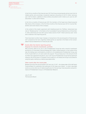In the first six months of the financial year 2017, the Group received goods and services from its related parties and accordingly recognized expenses amounting to EUR 15 million (previous year: EUR 16 million). Liabilities to these entities amounted to EUR 4 million as of June 30, 2017 (December 31, 2016: EUR 10 million).

In the first six months of financial year 2017, the members of the Supervisory Board acquired 586 shares of the Company. In the first three months of the financial year 2017, Dr. Gunnar Wiedenfels sold 5,000 shares of the Company.

In the context of the master agreement with Heilpflanzenwohl AG, Pfaffikon, Switzerland (see note 32 "Related parties" in the Notes to the Consolidated Financial Statements as of December 31, 2016), advertising services with a gross media volume of EUR 7 million (previous year: none) were rendered in the reporting period.

There have been no other major changes or transactions in the second quarter of financial year 2017 compared to the facts regarding related parties as reported in the Notes to the Consolidated Financial Statements for financial year 2016.

**10**

## Events after the interim reporting period Disposal of a minority investments portfolio

With economic effect as of July 5, 2017, ProSiebenSat.1 Group has sold a minority investments portfolio to LCP (Overseas) Financial Holdings DAC, Dublin, Ireland (acquirer). In the context of the sale, the holdings were contributed to a GmbH & Co. KG established by ProSiebenSat.1 Group, and 75.1% of said GmbH & Co. KG were sold to the acquirer. The purchase price in the amount of EUR 35 million was supposed to be paid on July 5, 2017. Due to ProSiebenSat.1 Group having significant influence, the 24.9% share in Crosslantic Fund I GmbH & Co. KG held by the Group is accounted for using the equity method as a material associated entity.

## Other events after the closing date

Between the end of the second quarter 2017 and July 27, 2017 — the release date of this Half-Yearly Financial Report for publication and submission to the Supervisory Board — no other reportable events occurred, which are of material significance for the earnings, financial position and performance of ProSiebenSat.1 Group or of ProSiebenSat.1 Media SE.

July 27, 2017 The Executive Board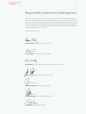## Responsibility Statement by Management

To the best of our knowledge, we certify that, in accordance with the applicable reporting principles, the consolidated interim financial statements give a true and fair view of the Group's earnings, financial position and performance, and the combined management report of the Group gives a fair view of the development and performance of the business and the position of the Group, together with a description of the principal opportunities and risks associated with the expected development of the Group.

Unterföhring, July 27, 2017

Promos Ebel.

Thomas Ebeling (Chief Executive Officer — CEO)

Dr. Jan Kemper (Chief Financial Officer - CFO)

Conrad Albert (External Affairs & Industry Relations, General Counsel)

abine Eckhardt (Chief Commercial Officer - CCO)

Jan David Frouman (Content & Broadcasting)

Dr. Ralf Schremper (Chief Investment Officer - CIO)

Christof Wahl (Digital Entertainment)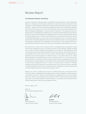## Review Report

### To ProSiebenSat.1 Media SE, Unterföhring

We have reviewed the condensed interim consolidated financial statements of the ProSiebenSat1 Media SE - comprising income statement, statement of comprehensive income, statement of financial position, cash flow statement, statement of changes in Equity and notes to the interim financial statement — together with the interim group management report of the ProSiebenSat.1 Media SE, for the period from January 1 to June 30, 2017 that are part of the semi annual according to §37 w WpHG ["Wertpapierhandelsgesetz": "German Securities Trading Act"]. The preparation of the condensed interim consolidated financial statements in accordance with International Accounting Standard IAS 34 "Interim Financial Reporting" as adopted by the EU, and in accordance with International Accounting Standards IAS 34 "Interim Financial Reporting" as issued by the International Accounting Standards Board (IASB), and of the interim group management report in accordance with the requirements of the WpHG applicable to interim group management reports, is the responsibility of the Company's management. Our responsibility is to issue a report on the condensed interim consolidated financial statements and on the interim group management report based on our review.

We performed our review of the condensed interim consolidated financial statements and the interim group management report in accordance with the German generally accepted standards for the review of financial statements promulgated by the Institut der Wirtschaftsprüfer (IDW). Those standards require that we plan and perform the review so that we can preclude through critical evaluation, with a certain level of assurance, that the condensed interim consolidated financial statements have not been prepared, in material respects, in accordance with IAS 34, "Interim Financial Reporting" as adopted by the EU, and in accordance with IAS 34, "Interim Financial Reporting Standard" as issued by the IASB, and that the interim group management report has not been prepared, in material respects, in accordance with the requirements of the WpHG applicable to interim group management reports. A review is limited primarily to inquiries of company employees and analytical assessments and therefore does not provide the assurance attainable in a financial statement audit. Since, in accordance with our engagement, we have not performed a financial statement audit, we cannot issue an auditor's report.

Based on our review, no matters have come to our attention that cause us to presume that the condensed interim consolidated financial statements have not been prepared, in material respects, in accordance with IAS 34, "Interim Financial Reporting" as adopted by the EU, and in accordance with IAS 34, "Interim Financial Reporting" as issued by the IASB, or that the interim group management report has not been prepared, in material respects, in accordance with the requirements of the WpHG applicable to interim group management reports.

Munich, August 2, 2017

KPMG AG Wirtschaftsprüfungsgesellschaft

Sailer Sailer Schmidt (Schmidt Schmidt) Wirtschaftsprüfer Wirtschaftsprüfer

[German Public Auditor] [German Public Auditor]